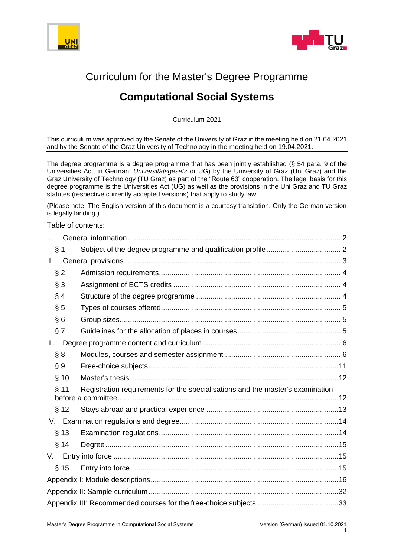



# Curriculum for the Master's Degree Programme

# **Computational Social Systems**

Curriculum 2021

This curriculum was approved by the Senate of the University of Graz in the meeting held on 21.04.2021 and by the Senate of the Graz University of Technology in the meeting held on 19.04.2021.

The degree programme is a degree programme that has been jointly established (§ 54 para. 9 of the Universities Act; in German: *Universitätsgesetz* or UG) by the University of Graz (Uni Graz) and the Graz University of Technology (TU Graz) as part of the "Route 63" cooperation. The legal basis for this degree programme is the Universities Act (UG) as well as the provisions in the Uni Graz and TU Graz statutes (respective currently accepted versions) that apply to study law.

(Please note. The English version of this document is a courtesy translation. Only the German version is legally binding.)

Table of contents:

| L     |             |                                                                                |  |
|-------|-------------|--------------------------------------------------------------------------------|--|
| ş     | $\mathbf 1$ |                                                                                |  |
| Н.    |             |                                                                                |  |
| $§$ 2 |             |                                                                                |  |
| $§$ 3 |             |                                                                                |  |
| $§$ 4 |             |                                                                                |  |
| $\S5$ |             |                                                                                |  |
| §6    |             |                                                                                |  |
| § 7   |             |                                                                                |  |
| III.  |             |                                                                                |  |
| § 8   |             |                                                                                |  |
| § 9   |             |                                                                                |  |
|       | § 10        |                                                                                |  |
|       | $§$ 11      | Registration requirements for the specialisations and the master's examination |  |
|       | § 12        |                                                                                |  |
|       |             |                                                                                |  |
|       | $§$ 13      |                                                                                |  |
|       | § 14        |                                                                                |  |
| V.    |             |                                                                                |  |
|       | $§$ 15      |                                                                                |  |
|       |             |                                                                                |  |
|       |             |                                                                                |  |
|       |             |                                                                                |  |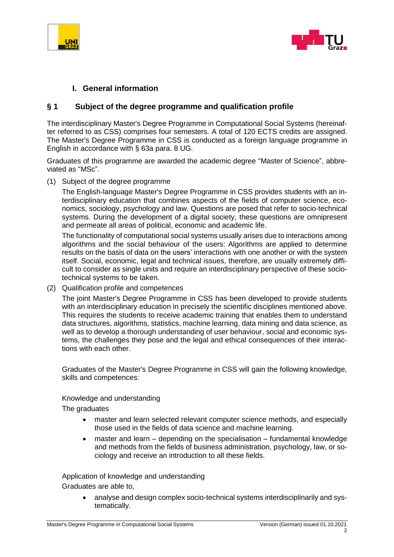



#### <span id="page-1-0"></span>**I. General information**

#### <span id="page-1-1"></span>**§ 1 Subject of the degree programme and qualification profile**

The interdisciplinary Master's Degree Programme in Computational Social Systems (hereinafter referred to as CSS) comprises four semesters. A total of 120 ECTS credits are assigned. The Master's Degree Programme in CSS is conducted as a foreign language programme in English in accordance with § 63a para. 8 UG.

Graduates of this programme are awarded the academic degree "Master of Science", abbreviated as "MSc".

(1) Subject of the degree programme

The English-language Master's Degree Programme in CSS provides students with an interdisciplinary education that combines aspects of the fields of computer science, economics, sociology, psychology and law. Questions are posed that refer to socio-technical systems. During the development of a digital society, these questions are omnipresent and permeate all areas of political, economic and academic life.

The functionality of computational social systems usually arises due to interactions among algorithms and the social behaviour of the users: Algorithms are applied to determine results on the basis of data on the users' interactions with one another or with the system itself. Social, economic, legal and technical issues, therefore, are usually extremely difficult to consider as single units and require an interdisciplinary perspective of these sociotechnical systems to be taken.

(2) Qualification profile and competences

The joint Master's Degree Programme in CSS has been developed to provide students with an interdisciplinary education in precisely the scientific disciplines mentioned above. This requires the students to receive academic training that enables them to understand data structures, algorithms, statistics, machine learning, data mining and data science, as well as to develop a thorough understanding of user behaviour, social and economic systems, the challenges they pose and the legal and ethical consequences of their interactions with each other.

Graduates of the Master's Degree Programme in CSS will gain the following knowledge, skills and competences:

#### Knowledge and understanding

The graduates

- master and learn selected relevant computer science methods, and especially those used in the fields of data science and machine learning.
- master and learn depending on the specialisation fundamental knowledge and methods from the fields of business administration, psychology, law, or sociology and receive an introduction to all these fields.

Application of knowledge and understanding Graduates are able to,

> • analyse and design complex socio-technical systems interdisciplinarily and systematically.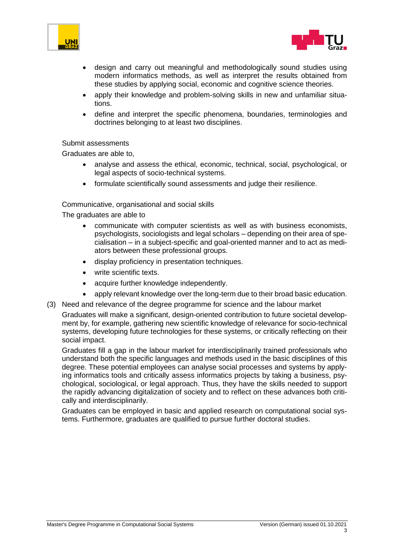



- design and carry out meaningful and methodologically sound studies using modern informatics methods, as well as interpret the results obtained from these studies by applying social, economic and cognitive science theories.
- apply their knowledge and problem-solving skills in new and unfamiliar situations.
- define and interpret the specific phenomena, boundaries, terminologies and doctrines belonging to at least two disciplines.

#### Submit assessments

Graduates are able to,

- analyse and assess the ethical, economic, technical, social, psychological, or legal aspects of socio-technical systems.
- formulate scientifically sound assessments and judge their resilience.

#### Communicative, organisational and social skills

The graduates are able to

- communicate with computer scientists as well as with business economists, psychologists, sociologists and legal scholars – depending on their area of specialisation – in a subject-specific and goal-oriented manner and to act as mediators between these professional groups.
- display proficiency in presentation techniques.
- write scientific texts.
- acquire further knowledge independently.
- apply relevant knowledge over the long-term due to their broad basic education.
- (3) Need and relevance of the degree programme for science and the labour market

Graduates will make a significant, design-oriented contribution to future societal development by, for example, gathering new scientific knowledge of relevance for socio-technical systems, developing future technologies for these systems, or critically reflecting on their social impact.

Graduates fill a gap in the labour market for interdisciplinarily trained professionals who understand both the specific languages and methods used in the basic disciplines of this degree. These potential employees can analyse social processes and systems by applying informatics tools and critically assess informatics projects by taking a business, psychological, sociological, or legal approach. Thus, they have the skills needed to support the rapidly advancing digitalization of society and to reflect on these advances both critically and interdisciplinarily.

<span id="page-2-0"></span>Graduates can be employed in basic and applied research on computational social systems. Furthermore, graduates are qualified to pursue further doctoral studies.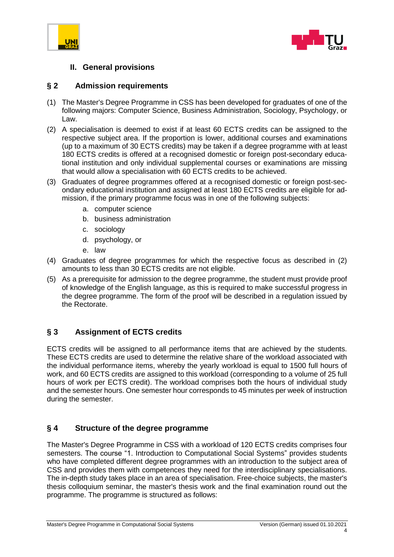



#### **II. General provisions**

#### <span id="page-3-0"></span>**§ 2 Admission requirements**

- (1) The Master's Degree Programme in CSS has been developed for graduates of one of the following majors: Computer Science, Business Administration, Sociology, Psychology, or Law.
- (2) A specialisation is deemed to exist if at least 60 ECTS credits can be assigned to the respective subject area. If the proportion is lower, additional courses and examinations (up to a maximum of 30 ECTS credits) may be taken if a degree programme with at least 180 ECTS credits is offered at a recognised domestic or foreign post-secondary educational institution and only individual supplemental courses or examinations are missing that would allow a specialisation with 60 ECTS credits to be achieved.
- (3) Graduates of degree programmes offered at a recognised domestic or foreign post-secondary educational institution and assigned at least 180 ECTS credits are eligible for admission, if the primary programme focus was in one of the following subjects:
	- a. computer science
	- b. business administration
	- c. sociology
	- d. psychology, or
	- e. law
- (4) Graduates of degree programmes for which the respective focus as described in (2) amounts to less than 30 ECTS credits are not eligible.
- (5) As a prerequisite for admission to the degree programme, the student must provide proof of knowledge of the English language, as this is required to make successful progress in the degree programme. The form of the proof will be described in a regulation issued by the Rectorate.

#### <span id="page-3-1"></span>**§ 3 Assignment of ECTS credits**

ECTS credits will be assigned to all performance items that are achieved by the students. These ECTS credits are used to determine the relative share of the workload associated with the individual performance items, whereby the yearly workload is equal to 1500 full hours of work, and 60 ECTS credits are assigned to this workload (corresponding to a volume of 25 full hours of work per ECTS credit). The workload comprises both the hours of individual study and the semester hours. One semester hour corresponds to 45 minutes per week of instruction during the semester.

#### <span id="page-3-2"></span>**§ 4 Structure of the degree programme**

The Master's Degree Programme in CSS with a workload of 120 ECTS credits comprises four semesters. The course "1. Introduction to Computational Social Systems" provides students who have completed different degree programmes with an introduction to the subject area of CSS and provides them with competences they need for the interdisciplinary specialisations. The in-depth study takes place in an area of specialisation. Free-choice subjects, the master's thesis colloquium seminar, the master's thesis work and the final examination round out the programme. The programme is structured as follows: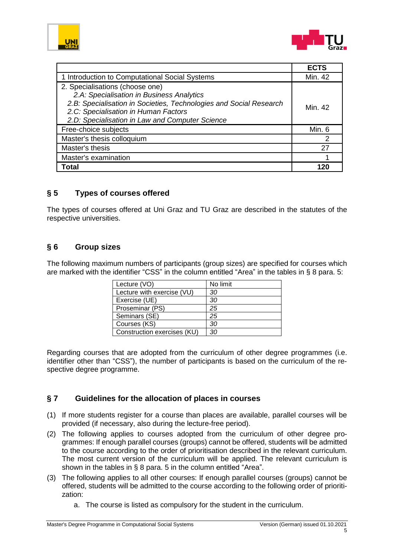



|                                                                                                                                                                                                                                               | <b>ECTS</b> |
|-----------------------------------------------------------------------------------------------------------------------------------------------------------------------------------------------------------------------------------------------|-------------|
| 1 Introduction to Computational Social Systems                                                                                                                                                                                                | Min. 42     |
| 2. Specialisations (choose one)<br>2.A: Specialisation in Business Analytics<br>2.B: Specialisation in Societies, Technologies and Social Research<br>2.C: Specialisation in Human Factors<br>2.D: Specialisation in Law and Computer Science | Min. 42     |
| Free-choice subjects                                                                                                                                                                                                                          | Min. 6      |
| Master's thesis colloquium                                                                                                                                                                                                                    |             |
| Master's thesis                                                                                                                                                                                                                               | 27          |
| Master's examination                                                                                                                                                                                                                          |             |
| Total                                                                                                                                                                                                                                         | 121         |

#### <span id="page-4-0"></span>**§ 5 Types of courses offered**

The types of courses offered at Uni Graz and TU Graz are described in the statutes of the respective universities.

#### <span id="page-4-1"></span>**§ 6 Group sizes**

The following maximum numbers of participants (group sizes) are specified for courses which are marked with the identifier "CSS" in the column entitled "Area" in the tables in § 8 para. 5:

| Lecture (VO)                | No limit |
|-----------------------------|----------|
| Lecture with exercise (VU)  | 30       |
| Exercise (UE)               | 30       |
| Proseminar (PS)             | 25       |
| Seminars (SE)               | 25       |
| Courses (KS)                | 30       |
| Construction exercises (KU) | 30       |

Regarding courses that are adopted from the curriculum of other degree programmes (i.e. identifier other than "CSS"), the number of participants is based on the curriculum of the respective degree programme.

#### <span id="page-4-2"></span>**§ 7 Guidelines for the allocation of places in courses**

- (1) If more students register for a course than places are available, parallel courses will be provided (if necessary, also during the lecture-free period).
- (2) The following applies to courses adopted from the curriculum of other degree programmes: If enough parallel courses (groups) cannot be offered, students will be admitted to the course according to the order of prioritisation described in the relevant curriculum. The most current version of the curriculum will be applied. The relevant curriculum is shown in the tables in § 8 para. 5 in the column entitled "Area".
- (3) The following applies to all other courses: If enough parallel courses (groups) cannot be offered, students will be admitted to the course according to the following order of prioritization:
	- a. The course is listed as compulsory for the student in the curriculum.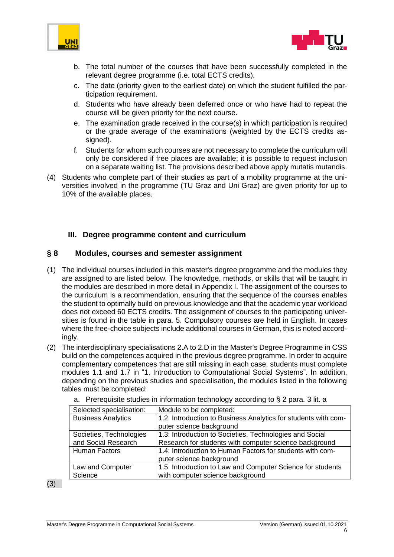



- b. The total number of the courses that have been successfully completed in the relevant degree programme (i.e. total ECTS credits).
- c. The date (priority given to the earliest date) on which the student fulfilled the participation requirement.
- d. Students who have already been deferred once or who have had to repeat the course will be given priority for the next course.
- e. The examination grade received in the course(s) in which participation is required or the grade average of the examinations (weighted by the ECTS credits assigned).
- f. Students for whom such courses are not necessary to complete the curriculum will only be considered if free places are available; it is possible to request inclusion on a separate waiting list. The provisions described above apply mutatis mutandis.
- (4) Students who complete part of their studies as part of a mobility programme at the universities involved in the programme (TU Graz and Uni Graz) are given priority for up to 10% of the available places.

#### <span id="page-5-0"></span>**III. Degree programme content and curriculum**

#### <span id="page-5-1"></span>**§ 8 Modules, courses and semester assignment**

- (1) The individual courses included in this master's degree programme and the modules they are assigned to are listed below. The knowledge, methods, or skills that will be taught in the modules are described in more detail in Appendix I. The assignment of the courses to the curriculum is a recommendation, ensuring that the sequence of the courses enables the student to optimally build on previous knowledge and that the academic year workload does not exceed 60 ECTS credits. The assignment of courses to the participating universities is found in the table in para. 5. Compulsory courses are held in English. In cases where the free-choice subjects include additional courses in German, this is noted accordingly.
- (2) The interdisciplinary specialisations 2.A to 2.D in the Master's Degree Programme in CSS build on the competences acquired in the previous degree programme. In order to acquire complementary competences that are still missing in each case, students must complete modules 1.1 and 1.7 in "1. Introduction to Computational Social Systems". In addition, depending on the previous studies and specialisation, the modules listed in the following tables must be completed:

| Selected specialisation:  | Module to be completed:                                        |
|---------------------------|----------------------------------------------------------------|
| <b>Business Analytics</b> | 1.2: Introduction to Business Analytics for students with com- |
|                           | puter science background                                       |
| Societies, Technologies   | 1.3: Introduction to Societies, Technologies and Social        |
| and Social Research       | Research for students with computer science background         |
| <b>Human Factors</b>      | 1.4: Introduction to Human Factors for students with com-      |
|                           | puter science background                                       |
| Law and Computer          | 1.5: Introduction to Law and Computer Science for students     |
| Science                   | with computer science background                               |

a. Prerequisite studies in information technology according to § 2 para. 3 lit. a

(3)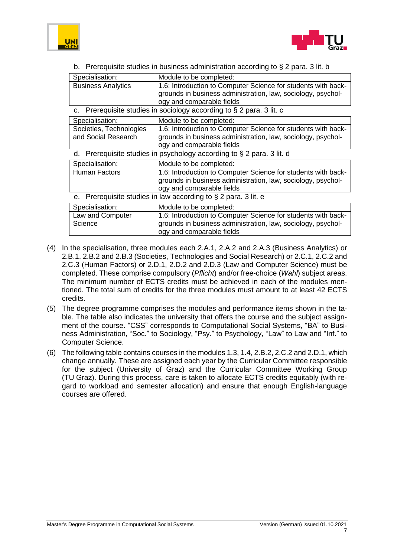



b. Prerequisite studies in business administration according to § 2 para. 3 lit. b

| Specialisation:           | Module to be completed:                                                                                                       |
|---------------------------|-------------------------------------------------------------------------------------------------------------------------------|
| <b>Business Analytics</b> | 1.6: Introduction to Computer Science for students with back-                                                                 |
|                           | grounds in business administration, law, sociology, psychol-                                                                  |
|                           | ogy and comparable fields                                                                                                     |
| c.                        | Prerequisite studies in sociology according to § 2 para. 3 lit. c                                                             |
| Specialisation:           | Module to be completed:                                                                                                       |
| Societies, Technologies   | 1.6: Introduction to Computer Science for students with back-                                                                 |
| and Social Research       | grounds in business administration, law, sociology, psychol-                                                                  |
|                           | ogy and comparable fields                                                                                                     |
| d.                        | Prerequisite studies in psychology according to § 2 para. 3 lit. d                                                            |
| Specialisation:           | Module to be completed:                                                                                                       |
| <b>Human Factors</b>      | 1.6: Introduction to Computer Science for students with back-<br>grounds in business administration, law, sociology, psychol- |
|                           | ogy and comparable fields                                                                                                     |
| е.                        | Prerequisite studies in law according to § 2 para. 3 lit. e                                                                   |
| Specialisation:           | Module to be completed:                                                                                                       |
| Law and Computer          | 1.6: Introduction to Computer Science for students with back-                                                                 |
| Science                   | grounds in business administration, law, sociology, psychol-                                                                  |
|                           | ogy and comparable fields                                                                                                     |

- (4) In the specialisation, three modules each 2.A.1, 2.A.2 and 2.A.3 (Business Analytics) or 2.B.1, 2.B.2 and 2.B.3 (Societies, Technologies and Social Research) or 2.C.1, 2.C.2 and 2.C.3 (Human Factors) or 2.D.1, 2.D.2 and 2.D.3 (Law and Computer Science) must be completed. These comprise compulsory (*Pflicht*) and/or free-choice (*Wahl*) subject areas. The minimum number of ECTS credits must be achieved in each of the modules mentioned. The total sum of credits for the three modules must amount to at least 42 ECTS credits.
- (5) The degree programme comprises the modules and performance items shown in the table. The table also indicates the university that offers the course and the subject assignment of the course. "CSS" corresponds to Computational Social Systems, "BA" to Business Administration, "Soc." to Sociology, "Psy." to Psychology, "Law" to Law and "Inf." to Computer Science.
- (6) The following table contains courses in the modules 1.3, 1.4, 2.B.2, 2.C.2 and 2.D.1, which change annually. These are assigned each year by the Curricular Committee responsible for the subject (University of Graz) and the Curricular Committee Working Group (TU Graz). During this process, care is taken to allocate ECTS credits equitably (with regard to workload and semester allocation) and ensure that enough English-language courses are offered.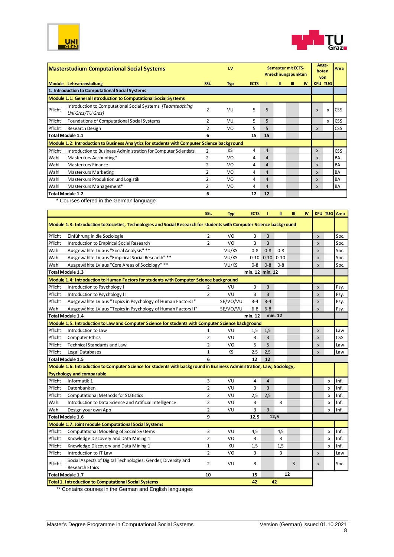



| <b>Masterstudium Computational Social Systems</b>                |                                                                                              |                | LV         |             |    |   | Semester mit ECTS-<br>Anrechnungspunkten | Ange-<br>boten<br>von |                           | Area           |            |
|------------------------------------------------------------------|----------------------------------------------------------------------------------------------|----------------|------------|-------------|----|---|------------------------------------------|-----------------------|---------------------------|----------------|------------|
|                                                                  | Module Lehrveranstaltung                                                                     | SSt.           | <b>Typ</b> | <b>ECTS</b> |    | Ш | Ш                                        | <b>IV</b>             |                           | <b>KFU TUG</b> |            |
|                                                                  | 1. Introduction to Computational Social Systems                                              |                |            |             |    |   |                                          |                       |                           |                |            |
| Module 1.1: General Introduction to Computational Social Systems |                                                                                              |                |            |             |    |   |                                          |                       |                           |                |            |
| Pflicht                                                          | Introduction to Computational Social Systems [Teamteaching]<br>Uni Graz/TU Graz]             | $\overline{2}$ | VU         | 5           | 5  |   |                                          |                       | $\boldsymbol{\mathsf{x}}$ | x              | <b>CSS</b> |
| Pflicht                                                          | <b>Foundations of Computational Social Systems</b>                                           | 2              | VU         | 5.          | 5  |   |                                          |                       |                           | x              | <b>CSS</b> |
| Pflicht                                                          | Research Design                                                                              | $\overline{2}$ | VO         | 5.          | 5  |   |                                          |                       | $\mathsf{x}$              |                | <b>CSS</b> |
|                                                                  | <b>Total Module 1.1</b>                                                                      | 6              |            | 15          | 15 |   |                                          |                       |                           |                |            |
|                                                                  | Module 1.2: Introduction to Business Analytics for students with Computer Science background |                |            |             |    |   |                                          |                       |                           |                |            |
| Pflicht                                                          | Introduction to Business Administration for Computer Scientists                              | 2              | KS         | 4           | 4  |   |                                          |                       | $\mathsf{x}$              |                | <b>CSS</b> |
| Wahl                                                             | Masterkurs Accounting*                                                                       | 2              | VO         | 4           | 4  |   |                                          |                       | X                         |                | BA         |
| Wahl                                                             | <b>Masterkurs Finance</b>                                                                    | 2              | VO         | 4           | 4  |   |                                          |                       | $\mathbf{x}$              |                | BA         |
| Wahl                                                             | <b>Masterkurs Marketing</b>                                                                  | 2              | VO         | 4           | 4  |   |                                          |                       | $\boldsymbol{\mathsf{x}}$ |                | BA         |
| Wahl                                                             | Masterkurs Produktion und Logistik                                                           | 2              | VO         | 4           | 4  |   |                                          |                       | $\boldsymbol{\mathsf{x}}$ |                | BA         |
| Wahl                                                             | Masterkurs Management*                                                                       | 2              | VO         | 4           | 4  |   |                                          |                       | $\mathsf{x}$              |                | BA         |
|                                                                  | Total Module 1.2                                                                             | 6              |            | 12          | 12 |   |                                          |                       |                           |                |            |

\* Courses offered in the German language

|                                                                                                                       |                                                                                                                       | SSt.           | <b>Typ</b> | <b>ECTS</b> | т              | Ш        | Ш  | <b>IV</b> | <b>KFU TUG</b> Area       |            |  |
|-----------------------------------------------------------------------------------------------------------------------|-----------------------------------------------------------------------------------------------------------------------|----------------|------------|-------------|----------------|----------|----|-----------|---------------------------|------------|--|
| Module 1.3: Introduction to Societies, Technologies and Social Research for students with Computer Science background |                                                                                                                       |                |            |             |                |          |    |           |                           |            |  |
| Pflicht                                                                                                               | Einführung in die Soziologie                                                                                          | 2              | VO         | 3           | 3              |          |    |           | $\boldsymbol{\mathsf{x}}$ | Soc.       |  |
| Pflicht                                                                                                               | <b>Introduction to Empirical Social Research</b>                                                                      | $\overline{2}$ | VO         | 3           | $\overline{3}$ |          |    |           | $\mathsf{x}$              | Soc.       |  |
| Wahl                                                                                                                  | Ausgewählte LV aus "Social Analysis" **                                                                               |                | VU/KS      | $0 - 8$     | $0 - 8$        | $0 - 8$  |    |           | $\mathsf{x}$              | Soc.       |  |
| Wahl                                                                                                                  | Ausgewählte LV aus "Empirical Social Research" **                                                                     |                | VU/KS      | $0 - 10$    | $0 - 10$       | $0 - 10$ |    |           | $\mathsf{x}$              | Soc.       |  |
| Wahl                                                                                                                  | Ausgewählte LV aus "Core Areas of Sociology" **                                                                       |                | VU/KS      | $0 - 8$     | $0 - 8$        | $0 - 8$  |    |           | $\mathsf{x}$              | Soc.       |  |
| <b>Total Module 1.3</b><br>min. 12 min. 12                                                                            |                                                                                                                       |                |            |             |                |          |    |           |                           |            |  |
| Module 1.4: Introduction to Human Factors for students with Computer Science background                               |                                                                                                                       |                |            |             |                |          |    |           |                           |            |  |
| Pflicht                                                                                                               | Introduction to Psychology I                                                                                          | $\overline{2}$ | VU         | 3           | 3              |          |    |           | $\mathsf{x}$              | Psy.       |  |
| Pflicht                                                                                                               | Introduction to Psychology II                                                                                         | $\overline{2}$ | VU         | 3           | $\overline{3}$ |          |    |           | $\mathsf{x}$              | Psy.       |  |
| Pflicht                                                                                                               | Ausgewählte LV aus "Topics in Psychology of Human Factors I"                                                          |                | SE/VO/VU   | $3 - 4$     | $3 - 4$        |          |    |           | $\mathsf{x}$              | Psy.       |  |
| Wahl                                                                                                                  | Ausgewählte LV aus "Topics in Psychology of Human Factors II"                                                         |                | SE/VO/VU   | $6-8$       | $6 - 8$        |          |    |           | $\pmb{\times}$            | Psy.       |  |
|                                                                                                                       | <b>Total Module 1.4</b>                                                                                               |                |            | min. 12     |                | min. 12  |    |           |                           |            |  |
|                                                                                                                       | Module 1.5: Introduction to Law and Computer Science for students with Computer Science background                    |                |            |             |                |          |    |           |                           |            |  |
| Pflicht                                                                                                               | Introduction to Law                                                                                                   | 1              | VU         | 1,5         | 1,5            |          |    |           | $\pmb{\times}$            | Law        |  |
| Pflicht                                                                                                               | <b>Computer Ethics</b>                                                                                                | $\overline{2}$ | VU         | 3           | $\overline{3}$ |          |    |           | $\mathsf{x}$              | <b>CSS</b> |  |
| Pflicht                                                                                                               | <b>Technical Standards and Law</b>                                                                                    | $\overline{2}$ | VO         | 5           | 5              |          |    |           | $\mathsf{x}$              | Law        |  |
| Pflicht                                                                                                               | Legal Databases                                                                                                       | $\mathbf{1}$   | KS         | 2,5         | 2,5            |          |    |           | $\boldsymbol{\mathsf{x}}$ | Law        |  |
|                                                                                                                       | <b>Total Module 1.5</b>                                                                                               | 6              |            | 12          | 12             |          |    |           |                           |            |  |
|                                                                                                                       | Module 1.6: Introduction to Computer Science for students with background in Business Administration, Law, Sociology, |                |            |             |                |          |    |           |                           |            |  |
|                                                                                                                       | <b>Psychology and comparable</b>                                                                                      |                |            |             |                |          |    |           |                           |            |  |
| Pflicht                                                                                                               | Informatik 1                                                                                                          | 3              | VU         | 4           | $\overline{4}$ |          |    |           | x                         | Inf.       |  |
| Pflicht                                                                                                               | Datenbanken                                                                                                           | $\overline{2}$ | VU         | 3           | 3              |          |    |           | X                         | Inf.       |  |
| Pflicht                                                                                                               | <b>Computational Methods for Statistics</b>                                                                           | $\overline{2}$ | VU         | 2,5         | 2,5            |          |    |           | x                         | Inf.       |  |
| Wahl                                                                                                                  | Introduction to Data Science and Artificial Intelligence                                                              | $\overline{2}$ | VU         | 3           |                | 3        |    |           | X                         | Inf.       |  |
| Wahl                                                                                                                  | Design your own App                                                                                                   | $\overline{2}$ | VU         | 3           | 3              |          |    |           | X                         | Inf.       |  |
|                                                                                                                       | Total Module 1.6                                                                                                      | 9              |            | 12,5        |                | 12,5     |    |           |                           |            |  |
|                                                                                                                       | Module 1.7: Joint module Computational Social Systems                                                                 |                |            |             |                |          |    |           |                           |            |  |
| Pflicht                                                                                                               | <b>Computational Modeling of Social Systems</b>                                                                       | 3              | VU         | 4,5         |                | 4,5      |    |           | x                         | Inf.       |  |
| Pflicht                                                                                                               | Knowledge Discovery and Data Mining 1                                                                                 | $\overline{2}$ | VO         | 3           |                | 3        |    |           | X                         | Inf.       |  |
| Pflicht                                                                                                               | Knowledge Discovery and Data Mining 1                                                                                 | $\mathbf{1}$   | KU         | 1,5         |                | 1,5      |    |           | X                         | Inf.       |  |
| Pflicht                                                                                                               | Introduction to IT Law                                                                                                | $\overline{2}$ | VO         | 3           |                | 3        |    |           | X                         | Law        |  |
| Pflicht                                                                                                               | Social Aspects of Digital Technologies: Gender, Diversity and                                                         | $\overline{2}$ | VU         | 3           |                |          | 3  |           | X                         | Soc.       |  |
|                                                                                                                       | <b>Research Ethics</b>                                                                                                |                |            |             |                |          |    |           |                           |            |  |
|                                                                                                                       | Total Module 1.7                                                                                                      | 10             |            | 15          |                |          | 12 |           |                           |            |  |
|                                                                                                                       | <b>Total 1. Introduction to Computational Social Systems</b>                                                          |                |            | 42          |                | 42       |    |           |                           |            |  |

\*\* Contains courses in the German and English languages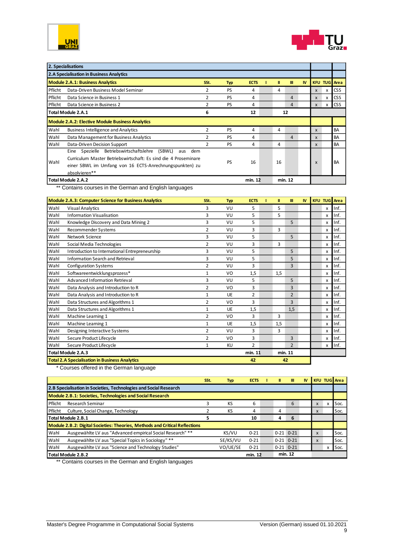



|                                                         | 2. Specialisations                                                                                                                                                                                                   |               |            |             |    |         |           |              |              |                     |
|---------------------------------------------------------|----------------------------------------------------------------------------------------------------------------------------------------------------------------------------------------------------------------------|---------------|------------|-------------|----|---------|-----------|--------------|--------------|---------------------|
|                                                         | 2.A Specialisation in Business Analytics                                                                                                                                                                             |               |            |             |    |         |           |              |              |                     |
|                                                         | <b>Module 2.A.1: Business Analytics</b>                                                                                                                                                                              | SSt.          | <b>Typ</b> | <b>ECTS</b> | Ш  | m       | <b>IV</b> |              |              | <b>KFU TUG</b> Area |
| Pflicht                                                 | Data-Driven Business Model Seminar                                                                                                                                                                                   | 2             | PS         | 4           | 4  |         |           | X            | $\mathsf{x}$ | <b>CSS</b>          |
| Pflicht                                                 | Data Science in Business 1                                                                                                                                                                                           | 2             | <b>PS</b>  | 4           |    | 4       |           | $\mathsf{x}$ | $\mathsf{x}$ | <b>CSS</b>          |
| Pflicht                                                 | Data Science in Business 2                                                                                                                                                                                           | 2             | PS         | 4           |    | 4       |           | X            | x            | <b>CSS</b>          |
| Total Module 2.A.1                                      |                                                                                                                                                                                                                      |               |            | 12          |    | 12      |           |              |              |                     |
| <b>Module 2.A.2: Elective Module Business Analytics</b> |                                                                                                                                                                                                                      |               |            |             |    |         |           |              |              |                     |
| Wahl                                                    | <b>Business Intelligence and Analytics</b>                                                                                                                                                                           | 2             | <b>PS</b>  | 4           | 4  |         |           | $\mathsf{x}$ |              | <b>BA</b>           |
| Wahl                                                    | Data Management for Business Analytics                                                                                                                                                                               | 2             | <b>PS</b>  | 4           |    | 4       |           | X            |              | <b>BA</b>           |
| Wahl                                                    | Data-Driven Decision Support                                                                                                                                                                                         | $\mathfrak z$ | <b>PS</b>  | 4           | 4  |         |           | X            |              | <b>BA</b>           |
| Wahl                                                    | Betriebswirtschaftslehre<br>Spezielle<br>(SBWL)<br>dem<br>Eine<br>aus<br>Curriculum Master Betriebswirtschaft: Es sind die 4 Proseminare<br>einer SBWL im Umfang von 16 ECTS-Anrechnungspunkten) zu<br>absolvieren** |               | PS         | 16          | 16 |         |           | X            |              | <b>BA</b>           |
|                                                         | Total Module 2.A.2                                                                                                                                                                                                   |               |            | min. 12     |    | min. 12 |           |              |              |                     |

\*\* Contains courses in the German and English languages

|      | <b>Module 2.A.3: Computer Science for Business Analytics</b> | SSt.         | <b>Typ</b> | <b>ECTS</b>    | Ш       | Ш              | <b>IV</b> | <b>KFU TUG</b> Area |          |
|------|--------------------------------------------------------------|--------------|------------|----------------|---------|----------------|-----------|---------------------|----------|
| Wahl | Visual Analytics                                             | 3            | VU         | 5              | 5       |                |           | x                   | Inf.     |
| Wahl | <b>Information Visualisation</b>                             | 3            | VU         | 5              | 5       |                |           | x                   | Inf.     |
| Wahl | Knowledge Discovery and Data Mining 2                        | 3            | VU         | 5              |         | 5              |           | x                   | Inf.     |
| Wahl | Recommender Systems                                          | 2            | VU         | 3              | 3       |                |           | X                   | Inf.     |
| Wahl | Network Science                                              | 3            | VU         | 5              |         | 5              |           | $\mathsf{x}$        | Inf.     |
| Wahl | Social Media Technologies                                    | 2            | VU         | 3              | 3       |                |           | x                   | Inf.     |
| Wahl | Introduction to International Entrepreneurship               | 3            | VU         | 5              |         | 5              |           | x                   | Inf.     |
| Wahl | <b>Information Search and Retrieval</b>                      | 3            | VU         | 5              |         | 5              |           | $\mathsf{x}$        | Inf.     |
| Wahl | <b>Configuration Systems</b>                                 | 2            | VU         | 3              |         | 3              |           | x                   | Inf.     |
| Wahl | Softwareentwicklungsprozess*                                 | $\mathbf{1}$ | VO         | 1,5            | 1,5     |                |           | x                   | Inf.     |
| Wahl | Advanced Information Retrieval                               | 3            | VU         | 5              |         | 5              |           | x                   | Inf.     |
| Wahl | Data Analysis and Introduction to R                          | 2            | VO         | 3              |         | 3              |           | x                   | Inf.     |
| Wahl | Data Analysis and Introduction to R                          | 1            | UE         | $\overline{2}$ |         | $\overline{2}$ |           | x                   | Inf.     |
| Wahl | Data Structures and Algorithms 1                             | 2            | VO         | 3              |         | 3              |           | x                   | Inf.     |
| Wahl | Data Structures and Algorithms 1                             | 1            | <b>UE</b>  | 1,5            |         | 1,5            |           | x                   | Inf.     |
| Wahl | Machine Learning 1                                           | 2            | VO         | 3              | 3       |                |           | x                   | Inf.     |
| Wahl | Machine Learning 1                                           | 1            | <b>UE</b>  | 1,5            | 1,5     |                |           | $\mathsf{x}$        | Inf.     |
| Wahl | Designing Interactive Systems                                | 2            | VU         | 3              | 3       |                |           | x                   | Inf.     |
| Wahl | Secure Product Lifecycle                                     | 2            | VO         | 3              |         | 3              |           | x                   | Inf.     |
| Wahl | Secure Product Lifecycle                                     | 1            | KU         | $\overline{2}$ |         | $\overline{2}$ |           |                     | $x$ Inf. |
|      | Total Module 2.A.3                                           |              |            | min. 11        | min. 11 |                |           |                     |          |
|      | <b>Total 2.A Specialisation in Business Analytics</b>        |              |            | 42             | 42      |                |           |                     |          |

\* Courses offered in the German language

|           |                                                                             | SSt. | <b>Typ</b> | <b>ECTS</b> |  | Ш | TH.           | IV |   |   | <b>KFU TUG</b> Area |
|-----------|-----------------------------------------------------------------------------|------|------------|-------------|--|---|---------------|----|---|---|---------------------|
|           | 2.B Specialisation in Societies, Technologies and Social Research           |      |            |             |  |   |               |    |   |   |                     |
|           | Module 2.B.1: Societies, Technologies and Social Research                   |      |            |             |  |   |               |    |   |   |                     |
| l Pflicht | <b>Research Seminar</b>                                                     |      | KS         | 6           |  |   | 6             |    | X | x | Soc.                |
| Pflicht   | Culture, Social Change, Technology                                          |      | KS         | 4           |  | 4 |               |    | X |   | Soc.                |
|           | Total Module 2.B.1                                                          |      |            | 10          |  | 4 | 6             |    |   |   |                     |
|           | Module 2.B.2: Digital Societies: Theories, Methods and Critical Reflections |      |            |             |  |   |               |    |   |   |                     |
| Wahl      | Ausgewählte LV aus "Advanced empirical Social Research" **                  |      | KS/VU      | $0 - 21$    |  |   | $0-21$ $0-21$ |    | X |   | Soc.                |
| l Wahl    | Ausgewählte LV aus "Special Topics in Sociology" **                         |      | SE/KS/VU   | $0 - 21$    |  |   | $0-21$ $0-21$ |    | X |   | Soc.                |
| l Wahl    | Ausgewählte LV aus "Science and Technology Studies"                         |      | VO/UE/SE   | $0 - 21$    |  |   | $0-21$ $0-21$ |    |   |   | Soc.                |
|           | Total Module 2.B.2                                                          |      |            | min. 12     |  |   | min. 12       |    |   |   |                     |

\*\* Contains courses in the German and English languages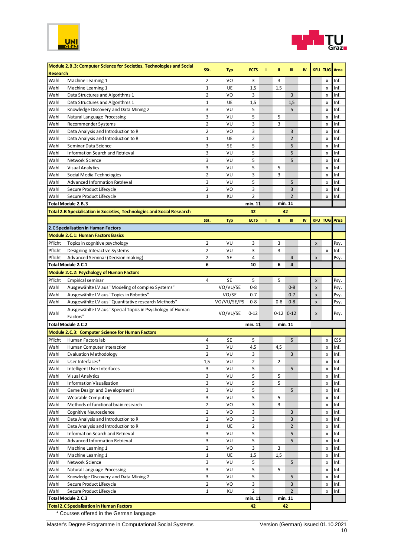



|                 | Module 2.B.3: Computer Science for Societies, Technologies and Social          | SSt.             | <b>Typ</b>  | <b>ECTS</b>         | т | Ш              | Ш              | IV |                    | <b>KFU TUG</b> Area |              |
|-----------------|--------------------------------------------------------------------------------|------------------|-------------|---------------------|---|----------------|----------------|----|--------------------|---------------------|--------------|
| <b>Research</b> |                                                                                |                  |             |                     |   |                |                |    |                    |                     |              |
| Wahl            | Machine Learning 1                                                             | $\overline{2}$   | VO          | 3                   |   | 3              |                |    |                    | x                   | Inf.         |
| Wahl            | Machine Learning 1                                                             | $\mathbf 1$      | UE          | 1,5                 |   | 1,5            |                |    |                    | x                   | Inf.         |
| Wahl            | Data Structures and Algorithms 1                                               | $\overline{2}$   | VO          | 3                   |   |                | $\overline{3}$ |    |                    | x                   | Inf.         |
| Wahl            | Data Structures and Algorithms 1                                               | 1                | UE          | 1,5                 |   |                | 1,5            |    |                    | x                   | Inf.         |
| Wahl            | Knowledge Discovery and Data Mining 2                                          | 3                | VU          | 5                   |   |                | 5              |    |                    | x                   | Inf.         |
| Wahl            | Natural Language Processing                                                    | 3                | VU          | 5                   |   | 5              |                |    |                    | x                   | Inf.         |
| Wahl            | Recommender Systems                                                            | $\overline{2}$   | VU          | 3                   |   | 3              |                |    |                    | x                   | Inf.         |
| Wahl            | Data Analysis and Introduction to R                                            | $\overline{2}$   | VO          | 3                   |   |                | 3              |    |                    | x                   | Inf.         |
| Wahl            | Data Analysis and Introduction to R                                            | 1                | UE          | $\overline{2}$      |   |                | $\overline{2}$ |    |                    | x                   | Inf.         |
| Wahl            | Seminar Data Science                                                           | 3                | SE          | 5                   |   |                | 5              |    |                    | x                   | Inf.         |
| Wahl            | <b>Information Search and Retrieval</b>                                        | 3                | VU          | 5                   |   |                | 5              |    |                    | $\pmb{\times}$      | Inf.         |
| Wahl            | Network Science                                                                | 3                | VU          | 5                   |   |                | 5              |    |                    | x                   | Inf.         |
| Wahl            | <b>Visual Analytics</b>                                                        | 3                | VU          | 5                   |   | 5              |                |    |                    | X                   | Inf.         |
| Wahl            | Social Media Technologies                                                      | $\overline{2}$   | VU          | 3                   |   | 3              |                |    |                    | X                   | Inf.         |
| Wahl            | Advanced Information Retrieval                                                 | 3                | VU          | 5                   |   |                | 5              |    |                    | x                   | Inf.         |
| Wahl            | Secure Product Lifecycle                                                       | $\overline{2}$   | VO          | 3                   |   |                | 3              |    |                    | $\pmb{\times}$      | Inf.         |
| Wahl            | Secure Product Lifecycle                                                       | $\mathbf{1}$     | KU          | $\overline{2}$      |   |                | $\overline{2}$ |    |                    | X                   | Inf.         |
|                 | Total Module 2.B.3                                                             |                  |             | min. 11             |   |                | min. 11        |    |                    |                     |              |
|                 | <b>Total 2.B Specialisation in Societies, Technologies and Social Research</b> |                  |             | 42                  |   |                | 42             |    |                    |                     |              |
|                 |                                                                                | SSt.             | <b>Typ</b>  | <b>ECTS</b>         |   | Ш              | Ш              | IV |                    | <b>KFU TUG</b> Area |              |
|                 | 2.C Specialisation in Human Factors                                            |                  |             |                     |   |                |                |    |                    |                     |              |
|                 |                                                                                |                  |             |                     |   |                |                |    |                    |                     |              |
|                 | <b>Module 2.C.1: Human Factors Basics</b>                                      |                  |             |                     |   |                |                |    |                    |                     |              |
| Pflicht         | Topics in cognitive psychology                                                 | 2                | VU          | 3                   |   | 3              |                |    | X                  |                     | Psy.         |
| Pflicht         | Designing Interactive Systems                                                  | $\overline{2}$   | VU          | 3                   |   | 3              |                |    |                    | $\pmb{\times}$      | Inf.         |
| Pflicht         | Advanced Seminar (Decision making)                                             | $\overline{2}$   | SE          | 4                   |   |                | $\overline{4}$ |    | $\pmb{\mathsf{x}}$ |                     | Psy.         |
|                 | Total Module 2.C.1                                                             | 6                |             | 10                  |   | 6              | 4              |    |                    |                     |              |
|                 | Module 2.C.2: Psychology of Human Factors                                      |                  |             |                     |   |                |                |    |                    |                     |              |
| Pflicht         | <b>Empirical seminar</b>                                                       | 4                | <b>SE</b>   | 5                   |   | 5              |                |    | $\pmb{\times}$     |                     | Psy.         |
| Wahl            | Ausgewählte LV aus "Modeling of complex Systems"                               |                  | VO/VU/SE    | $0 - 8$             |   |                | $0 - 8$        |    | $\pmb{\times}$     |                     | Psy.         |
| Wahl            | Ausgewählte LV aus "Topics in Robotics"                                        |                  | VO/SE       | $0 - 7$             |   |                | $0 - 7$        |    | X                  |                     | Psy.         |
| Wahl            | Ausgewählte LV aus "Quantitative research Methods"                             |                  | VO/VU/SE/PS | $0 - 8$             |   | $0 - 8$        | $0 - 8$        |    | $\pmb{\times}$     |                     | Psy.         |
|                 | Ausgewählte LV aus "Special Topics in Psychology of Human                      |                  |             |                     |   |                |                |    |                    |                     |              |
| Wahl            | Factors"                                                                       |                  | VO/VU/SE    | $0 - 12$            |   |                | $0-12$ $0-12$  |    | x                  |                     | Psy.         |
|                 | Total Module 2.C.2                                                             |                  |             | min. 11             |   |                | min. 11        |    |                    |                     |              |
|                 | Module 2.C.3: Computer Science for Human Factors                               |                  |             |                     |   |                |                |    |                    |                     |              |
| Pflicht         | Human Factors lab                                                              | 4                | SE          | 5                   |   |                | 5              |    |                    | x                   | CSS          |
| Wahl            | Human Computer Interaction                                                     | 3                | VU          | 4,5                 |   | 4,5            |                |    |                    | x                   | Inf.         |
| Wahl            | <b>Evaluation Methodology</b>                                                  | $\overline{2}$   | VU          | 3                   |   |                | 3              |    |                    | x                   | Inf.         |
| Wahl            | User Interfaces*                                                               | 1,5              | VU          | 2                   |   | $\overline{2}$ |                |    |                    | X                   | Inf.         |
| Wahl            | Intelligent User Interfaces                                                    | 3                | VU          | 5                   |   |                | 5              |    |                    | x                   | Inf.         |
| Wahl            | Visual Analytics                                                               | 3                | VU          | 5                   |   | 5              |                |    |                    | x                   | Inf.         |
| Wahl            | <b>Information Visualisation</b>                                               | 3                | VU          | 5                   |   | 5              |                |    |                    | x                   | Inf.         |
| Wahl            | Game Design and Development I                                                  | 3                | VU          | 5                   |   |                | 5              |    |                    | x                   | Inf.         |
| Wahl            | <b>Wearable Computing</b>                                                      | 3                | VU          | 5                   |   | 5              |                |    |                    | x                   | Inf.         |
| Wahl            | Methods of functional brain research                                           | 2                | VO          | 3                   |   | 3              |                |    |                    | x                   | Inf.         |
| Wahl            | Cognitive Neuroscience                                                         | 2                | VO          | 3                   |   |                | 3              |    |                    | x                   | Inf.         |
| Wahl            | Data Analysis and Introduction to R                                            | $\overline{2}$   | VO          | 3                   |   |                | 3              |    |                    | x                   | Inf.         |
|                 |                                                                                |                  |             |                     |   |                | $\overline{2}$ |    |                    |                     |              |
| Wahl<br>Wahl    | Data Analysis and Introduction to R                                            | $\mathbf 1$<br>3 | UE<br>VU    | $\overline{2}$<br>5 |   |                | 5              |    |                    | x                   | Inf.<br>Inf. |
|                 | Information Search and Retrieval                                               |                  |             |                     |   |                |                |    |                    | x                   |              |
| Wahl            | Advanced Information Retrieval                                                 | 3                | VU          | 5                   |   |                | 5              |    |                    | x                   | Inf.         |
| Wahl            | Machine Learning 1                                                             | 2                | VO          | 3                   |   | 3              |                |    |                    | x                   | Inf.         |
| Wahl            | Machine Learning 1                                                             | 1                | UE          | 1,5                 |   | 1,5            |                |    |                    | x                   | Inf.         |
| Wahl            | Network Science                                                                | 3                | VU          | 5                   |   |                | 5              |    |                    | x                   | Inf.         |
| Wahl            | Natural Language Processing                                                    | 3                | VU          | 5                   |   | 5              |                |    |                    | x                   | Inf.         |
| Wahl            | Knowledge Discovery and Data Mining 2                                          | 3                | VU          | 5                   |   |                | 5              |    |                    | x                   | Inf.         |
| Wahl            | Secure Product Lifecycle                                                       | $\overline{2}$   | VO          | 3                   |   |                | 3              |    |                    | x                   | Inf.         |
| Wahl            | Secure Product Lifecycle                                                       | $\mathbf{1}$     | KU          | $\overline{2}$      |   |                | $\overline{2}$ |    |                    | x                   | Inf.         |
|                 | Total Module 2.C.3                                                             |                  |             | min. 11             |   |                | min. 11        |    |                    |                     |              |
|                 | <b>Total 2.C Specialisation in Human Factors</b>                               |                  |             | 42                  |   |                | 42             |    |                    |                     |              |
|                 | * Courses offered in the German language                                       |                  |             |                     |   |                |                |    |                    |                     |              |

Master's Degree Programme in Computational Social Systems Version (German) issued 01.10.2021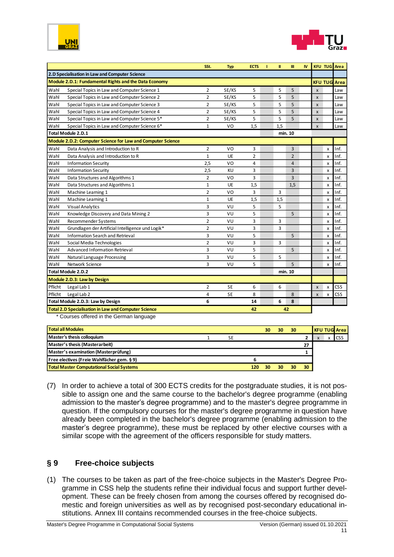



|         |                                                             | SSt.           | <b>Typ</b> | <b>ECTS</b>    | т | Ш   | Ш              | <b>IV</b> |                           |                | <b>KFU TUG</b> Area |
|---------|-------------------------------------------------------------|----------------|------------|----------------|---|-----|----------------|-----------|---------------------------|----------------|---------------------|
|         | 2.D Specialisation in Law and Computer Science              |                |            |                |   |     |                |           |                           |                |                     |
|         | Module 2.D.1: Fundamental Rights and the Data Economy       |                |            |                |   |     |                |           |                           | <b>KFU TUG</b> | <b>Area</b>         |
| Wahl    | Special Topics in Law and Computer Science 1                | $\overline{2}$ | SE/KS      | 5              |   | 5   | 5              |           | $\boldsymbol{\mathsf{x}}$ |                | Law                 |
| Wahl    | Special Topics in Law and Computer Science 2                | $\overline{2}$ | SE/KS      | 5              |   | 5   | 5              |           | $\boldsymbol{\mathsf{x}}$ |                | Law                 |
| Wahl    | Special Topics in Law and Computer Science 3                | $\overline{2}$ | SE/KS      | 5              |   | 5   | 5              |           | $\mathsf{x}$              |                | Law                 |
| Wahl    | Special Topics in Law and Computer Science 4                | $\overline{2}$ | SE/KS      | 5              |   | 5   | 5              |           | $\boldsymbol{x}$          |                | Law                 |
| Wahl    | Special Topics in Law and Computer Science 5*               | $\overline{2}$ | SE/KS      | 5              |   | 5   | 5              |           | $\boldsymbol{\mathsf{x}}$ |                | Law                 |
| Wahl    | Special Topics in Law and Computer Science 6*               | $\mathbf{1}$   | VO         | 1,5            |   | 1.5 |                |           | $\boldsymbol{\mathsf{x}}$ |                | Law                 |
|         | <b>Total Module 2.D.1</b>                                   |                |            |                |   |     | min. 10        |           |                           |                |                     |
|         | Module 2.D.2: Computer Science for Law and Computer Science |                |            |                |   |     |                |           |                           |                |                     |
| Wahl    | Data Analysis and Introduction to R                         | $\overline{2}$ | VO         | 3              |   |     | 3              |           |                           | x              | Inf.                |
| Wahl    | Data Analysis and Introduction to R                         | $\mathbf{1}$   | UE         | $\overline{2}$ |   |     | $\overline{2}$ |           |                           | X              | Inf.                |
| Wahl    | <b>Information Security</b>                                 | 2,5            | VO         | 4              |   |     | 4              |           |                           | x              | Inf.                |
| Wahl    | <b>Information Security</b>                                 | 2,5            | KU         | 3              |   |     | 3              |           |                           | X              | Inf.                |
| Wahl    | Data Structures and Algorithms 1                            | $\overline{2}$ | VO         | 3              |   |     | 3              |           |                           | x              | Inf.                |
| Wahl    | Data Structures and Algorithms 1                            | $\mathbf{1}$   | <b>UE</b>  | 1,5            |   |     | 1,5            |           |                           | X              | Inf.                |
| Wahl    | Machine Learning 1                                          | $\overline{2}$ | VO         | 3              |   | 3   |                |           |                           | x              | Inf.                |
| Wahl    | Machine Learning 1                                          | $\mathbf{1}$   | UE         | 1,5            |   | 1,5 |                |           |                           | x              | Inf.                |
| Wahl    | <b>Visual Analytics</b>                                     | 3              | VU         | 5              |   | 5   |                |           |                           | x              | Inf.                |
| Wahl    | Knowledge Discovery and Data Mining 2                       | 3              | VU         | 5              |   |     | 5              |           |                           | x              | Inf.                |
| Wahl    | Recommender Systems                                         | $\overline{2}$ | VU         | 3              |   | 3   |                |           |                           | x              | Inf.                |
| Wahl    | Grundlagen der Artificial Intelligence und Logik*           | $\overline{2}$ | VU         | 3              |   | 3   |                |           |                           | x              | Inf.                |
| Wahl    | <b>Information Search and Retrieval</b>                     | 3              | VU         | 5              |   |     | 5              |           |                           | x              | Inf.                |
| Wahl    | Social Media Technologies                                   | $\overline{2}$ | VU         | 3              |   | 3   |                |           |                           | x              | Inf.                |
| Wahl    | Advanced Information Retrieval                              | 3              | VU         | 5              |   |     | 5              |           |                           | x              | Inf.                |
| Wahl    | Natural Language Processing                                 | 3              | VU         | 5              |   | 5   |                |           |                           | x              | Inf.                |
| Wahl    | Network Science                                             | 3              | VU         | 5              |   |     | 5              |           |                           | $\mathsf{x}$   | Inf.                |
|         | Total Module 2.D.2                                          |                |            |                |   |     | min. 10        |           |                           |                |                     |
|         | Module 2.D.3: Law by Design                                 |                |            |                |   |     |                |           |                           |                |                     |
| Pflicht | Legal Lab 1                                                 | $\overline{2}$ | <b>SE</b>  | 6              |   | 6   |                |           | $\boldsymbol{\mathsf{x}}$ | x              | <b>CSS</b>          |
| Pflicht | Legal Lab 2                                                 | 4              | <b>SE</b>  | 8              |   |     | 8              |           | $\pmb{\times}$            | x              | <b>CSS</b>          |
|         | Total Module 2.D.3: Law by Design                           | 6              |            | 14             |   | 6   | 8              |           |                           |                |                     |
|         | <b>Total 2.D Specialisation in Law and Computer Science</b> |                |            | 42             |   |     | 42             |           |                           |                |                     |

\* Courses offered in the German language

| <b>Total all Modules</b>                         |    | 30 | 30 | 30 |    |             | <b>KFU TUG Area</b> |
|--------------------------------------------------|----|----|----|----|----|-------------|---------------------|
| Master's thesis colloquium                       | SE |    |    |    |    | $\mathbf v$ | <b>I</b> CSS        |
| Master's thesis (Masterarbeit)                   |    |    |    |    | 27 |             |                     |
| Master's examination (Masterprüfung)             |    |    |    |    |    |             |                     |
| Free electives (Freie Wahlfächer gem. § 9)       |    |    |    |    |    |             |                     |
| <b>Total Master Computational Social Systems</b> |    |    |    |    | 30 |             |                     |

(7) In order to achieve a total of 300 ECTS credits for the postgraduate studies, it is not possible to assign one and the same course to the bachelor's degree programme (enabling admission to the master's degree programme) and to the master's degree programme in question. If the compulsory courses for the master's degree programme in question have already been completed in the bachelor's degree programme (enabling admission to the master's degree programme), these must be replaced by other elective courses with a similar scope with the agreement of the officers responsible for study matters.

#### <span id="page-10-0"></span>**§ 9 Free-choice subjects**

(1) The courses to be taken as part of the free-choice subjects in the Master's Degree Programme in CSS help the students refine their individual focus and support further development. These can be freely chosen from among the courses offered by recognised domestic and foreign universities as well as by recognised post-secondary educational institutions. Annex III contains recommended courses in the free-choice subjects.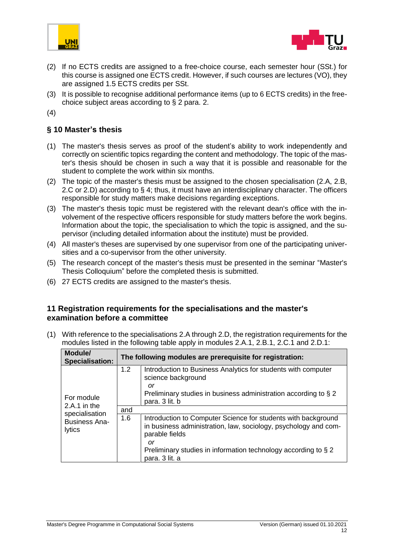



- (2) If no ECTS credits are assigned to a free-choice course, each semester hour (SSt.) for this course is assigned one ECTS credit. However, if such courses are lectures (VO), they are assigned 1.5 ECTS credits per SSt.
- (3) It is possible to recognise additional performance items (up to 6 ECTS credits) in the freechoice subject areas according to § 2 para. 2.
- (4)

#### <span id="page-11-0"></span>**§ 10 Master's thesis**

- (1) The master's thesis serves as proof of the student's ability to work independently and correctly on scientific topics regarding the content and methodology. The topic of the master's thesis should be chosen in such a way that it is possible and reasonable for the student to complete the work within six months.
- (2) The topic of the master's thesis must be assigned to the chosen specialisation (2.A, 2.B, 2.C or 2.D) according to § 4; thus, it must have an interdisciplinary character. The officers responsible for study matters make decisions regarding exceptions.
- (3) The master's thesis topic must be registered with the relevant dean's office with the involvement of the respective officers responsible for study matters before the work begins. Information about the topic, the specialisation to which the topic is assigned, and the supervisor (including detailed information about the institute) must be provided.
- (4) All master's theses are supervised by one supervisor from one of the participating universities and a co-supervisor from the other university.
- (5) The research concept of the master's thesis must be presented in the seminar "Master's Thesis Colloquium" before the completed thesis is submitted.
- (6) 27 ECTS credits are assigned to the master's thesis.

#### <span id="page-11-1"></span>**11 Registration requirements for the specialisations and the master's examination before a committee**

(1) With reference to the specialisations 2.A through 2.D, the registration requirements for the modules listed in the following table apply in modules 2.A.1, 2.B.1, 2.C.1 and 2.D.1:

| Module/<br><b>Specialisation:</b>     |     | The following modules are prerequisite for registration:                                                                                                     |
|---------------------------------------|-----|--------------------------------------------------------------------------------------------------------------------------------------------------------------|
| For module                            | 1.2 | Introduction to Business Analytics for students with computer<br>science background<br>or<br>Preliminary studies in business administration according to § 2 |
| 2.A.1 in the                          |     | para. 3 lit. b                                                                                                                                               |
| specialisation                        | and |                                                                                                                                                              |
| <b>Business Ana-</b><br><b>lytics</b> | 1.6 | Introduction to Computer Science for students with background<br>in business administration, law, sociology, psychology and com-<br>parable fields           |
|                                       |     | or<br>Preliminary studies in information technology according to § 2<br>para. 3 lit. a                                                                       |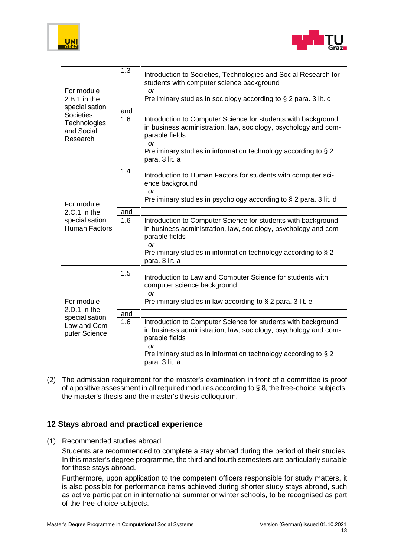



| For module<br>$2.B.1$ in the                                                  | 1.3 | Introduction to Societies, Technologies and Social Research for<br>students with computer science background<br><b>or</b><br>Preliminary studies in sociology according to § 2 para. 3 lit. c                                                |
|-------------------------------------------------------------------------------|-----|----------------------------------------------------------------------------------------------------------------------------------------------------------------------------------------------------------------------------------------------|
| specialisation                                                                | and |                                                                                                                                                                                                                                              |
| Societies,<br>Technologies<br>and Social<br>Research                          | 1.6 | Introduction to Computer Science for students with background<br>in business administration, law, sociology, psychology and com-<br>parable fields<br>or<br>Preliminary studies in information technology according to § 2<br>para. 3 lit. a |
|                                                                               | 1.4 |                                                                                                                                                                                                                                              |
| For module                                                                    |     | Introduction to Human Factors for students with computer sci-<br>ence background<br>or<br>Preliminary studies in psychology according to § 2 para. 3 lit. d                                                                                  |
| $2.C.1$ in the                                                                | and |                                                                                                                                                                                                                                              |
| specialisation<br><b>Human Factors</b>                                        | 1.6 | Introduction to Computer Science for students with background<br>in business administration, law, sociology, psychology and com-<br>parable fields<br>$\alpha$ r                                                                             |
|                                                                               |     | Preliminary studies in information technology according to § 2<br>para. 3 lit. a                                                                                                                                                             |
| For module<br>2.D.1 in the<br>specialisation<br>Law and Com-<br>puter Science | 1.5 | Introduction to Law and Computer Science for students with<br>computer science background<br><b>or</b><br>Preliminary studies in law according to $\S 2$ para. 3 lit. e                                                                      |
|                                                                               |     |                                                                                                                                                                                                                                              |
|                                                                               | and |                                                                                                                                                                                                                                              |
|                                                                               | 1.6 | Introduction to Computer Science for students with background<br>in business administration, law, sociology, psychology and com-<br>parable fields<br><b>or</b>                                                                              |
|                                                                               |     | Preliminary studies in information technology according to § 2<br>para. 3 lit. a                                                                                                                                                             |

(2) The admission requirement for the master's examination in front of a committee is proof of a positive assessment in all required modules according to § 8, the free-choice subjects, the master's thesis and the master's thesis colloquium.

#### <span id="page-12-0"></span>**12 Stays abroad and practical experience**

(1) Recommended studies abroad

Students are recommended to complete a stay abroad during the period of their studies. In this master's degree programme, the third and fourth semesters are particularly suitable for these stays abroad.

Furthermore, upon application to the competent officers responsible for study matters, it is also possible for performance items achieved during shorter study stays abroad, such as active participation in international summer or winter schools, to be recognised as part of the free-choice subjects.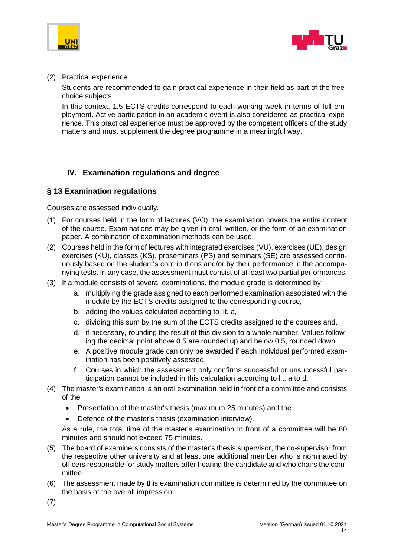



#### (2) Practical experience

Students are recommended to gain practical experience in their field as part of the freechoice subjects.

In this context, 1.5 ECTS credits correspond to each working week in terms of full employment. Active participation in an academic event is also considered as practical experience. This practical experience must be approved by the competent officers of the study matters and must supplement the degree programme in a meaningful way.

#### <span id="page-13-0"></span>**IV. Examination regulations and degree**

#### <span id="page-13-1"></span>**§ 13 Examination regulations**

Courses are assessed individually.

- (1) For courses held in the form of lectures (VO), the examination covers the entire content of the course. Examinations may be given in oral, written, or the form of an examination paper. A combination of examination methods can be used.
- (2) Courses held in the form of lectures with integrated exercises (VU), exercises (UE), design exercises (KU), classes (KS), proseminars (PS) and seminars (SE) are assessed continuously based on the student's contributions and/or by their performance in the accompanying tests. In any case, the assessment must consist of at least two partial performances.
- (3) If a module consists of several examinations, the module grade is determined by
	- a. multiplying the grade assigned to each performed examination associated with the module by the ECTS credits assigned to the corresponding course,
	- b. adding the values calculated according to lit. a,
	- c. dividing this sum by the sum of the ECTS credits assigned to the courses and,
	- d. if necessary, rounding the result of this division to a whole number. Values following the decimal point above 0.5 are rounded up and below 0.5, rounded down.
	- e. A positive module grade can only be awarded if each individual performed examination has been positively assessed.
	- f. Courses in which the assessment only confirms successful or unsuccessful participation cannot be included in this calculation according to lit. a to d.
- (4) The master's examination is an oral examination held in front of a committee and consists of the
	- Presentation of the master's thesis (maximum 25 minutes) and the
	- Defence of the master's thesis (examination interview).

As a rule, the total time of the master's examination in front of a committee will be 60 minutes and should not exceed 75 minutes.

- (5) The board of examiners consists of the master's thesis supervisor, the co-supervisor from the respective other university and at least one additional member who is nominated by officers responsible for study matters after hearing the candidate and who chairs the committee.
- (6) The assessment made by this examination committee is determined by the committee on the basis of the overall impression.
- (7)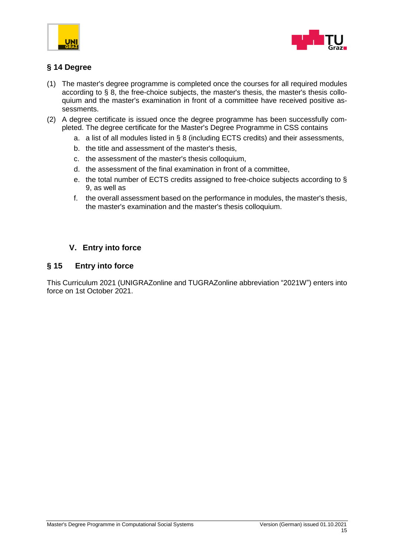



#### <span id="page-14-0"></span>**§ 14 Degree**

- (1) The master's degree programme is completed once the courses for all required modules according to § 8, the free-choice subjects, the master's thesis, the master's thesis colloquium and the master's examination in front of a committee have received positive assessments.
- (2) A degree certificate is issued once the degree programme has been successfully completed. The degree certificate for the Master's Degree Programme in CSS contains
	- a. a list of all modules listed in § 8 (including ECTS credits) and their assessments,
	- b. the title and assessment of the master's thesis,
	- c. the assessment of the master's thesis colloquium,
	- d. the assessment of the final examination in front of a committee,
	- e. the total number of ECTS credits assigned to free-choice subjects according to § 9, as well as
	- f. the overall assessment based on the performance in modules, the master's thesis, the master's examination and the master's thesis colloquium.

#### <span id="page-14-1"></span>**V. Entry into force**

#### <span id="page-14-2"></span>**§ 15 Entry into force**

This Curriculum 2021 (UNIGRAZonline and TUGRAZonline abbreviation "2021W") enters into force on 1st October 2021.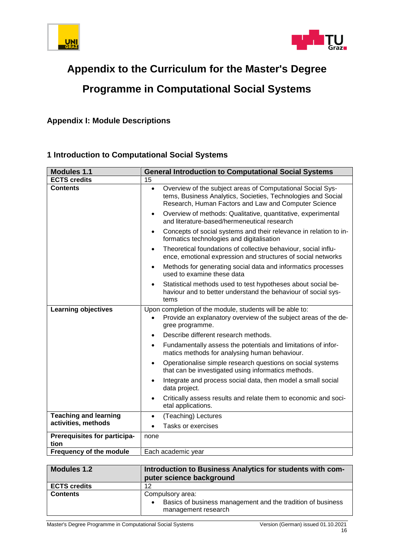



# **Appendix to the Curriculum for the Master's Degree**

# **Programme in Computational Social Systems**

<span id="page-15-0"></span>**Appendix I: Module Descriptions** 

#### **1 Introduction to Computational Social Systems**

| <b>Modules 1.1</b>                   | <b>General Introduction to Computational Social Systems</b>                                                                                                                                     |
|--------------------------------------|-------------------------------------------------------------------------------------------------------------------------------------------------------------------------------------------------|
| <b>ECTS credits</b>                  | 15                                                                                                                                                                                              |
| <b>Contents</b>                      | Overview of the subject areas of Computational Social Sys-<br>$\bullet$<br>tems, Business Analytics, Societies, Technologies and Social<br>Research, Human Factors and Law and Computer Science |
|                                      | Overview of methods: Qualitative, quantitative, experimental<br>$\bullet$<br>and literature-based/hermeneutical research                                                                        |
|                                      | Concepts of social systems and their relevance in relation to in-<br>$\bullet$<br>formatics technologies and digitalisation                                                                     |
|                                      | Theoretical foundations of collective behaviour, social influ-<br>$\bullet$<br>ence, emotional expression and structures of social networks                                                     |
|                                      | Methods for generating social data and informatics processes<br>$\bullet$<br>used to examine these data                                                                                         |
|                                      | Statistical methods used to test hypotheses about social be-<br>$\bullet$<br>haviour and to better understand the behaviour of social sys-<br>tems                                              |
| <b>Learning objectives</b>           | Upon completion of the module, students will be able to:<br>Provide an explanatory overview of the subject areas of the de-<br>gree programme.                                                  |
|                                      | Describe different research methods.<br>$\bullet$                                                                                                                                               |
|                                      | Fundamentally assess the potentials and limitations of infor-<br>$\bullet$<br>matics methods for analysing human behaviour.                                                                     |
|                                      | Operationalise simple research questions on social systems<br>$\bullet$<br>that can be investigated using informatics methods.                                                                  |
|                                      | Integrate and process social data, then model a small social<br>$\bullet$<br>data project.                                                                                                      |
|                                      | Critically assess results and relate them to economic and soci-<br>etal applications.                                                                                                           |
| <b>Teaching and learning</b>         | (Teaching) Lectures<br>$\bullet$                                                                                                                                                                |
| activities, methods                  | Tasks or exercises                                                                                                                                                                              |
| Prerequisites for participa-<br>tion | none                                                                                                                                                                                            |
| Frequency of the module              | Each academic year                                                                                                                                                                              |

| <b>Modules 1.2</b>  | Introduction to Business Analytics for students with com-<br>puter science background                               |
|---------------------|---------------------------------------------------------------------------------------------------------------------|
| <b>ECTS credits</b> | 12                                                                                                                  |
| <b>Contents</b>     | Compulsory area:<br>Basics of business management and the tradition of business<br>$\bullet$<br>management research |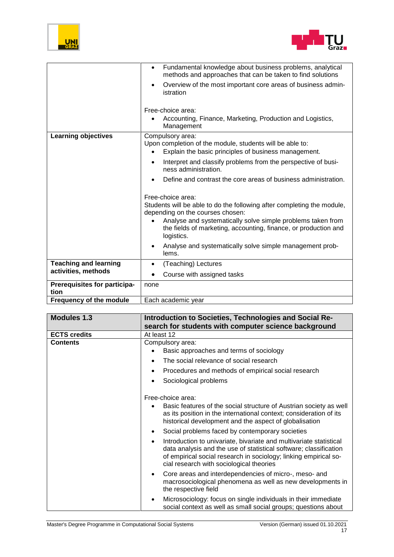



|                                | Fundamental knowledge about business problems, analytical<br>$\bullet$<br>methods and approaches that can be taken to find solutions                                                           |
|--------------------------------|------------------------------------------------------------------------------------------------------------------------------------------------------------------------------------------------|
|                                | Overview of the most important core areas of business admin-<br>$\bullet$<br>istration                                                                                                         |
|                                | Free-choice area:                                                                                                                                                                              |
|                                | Accounting, Finance, Marketing, Production and Logistics,<br>Management                                                                                                                        |
| <b>Learning objectives</b>     | Compulsory area:<br>Upon completion of the module, students will be able to:<br>Explain the basic principles of business management.                                                           |
|                                | Interpret and classify problems from the perspective of busi-<br>ness administration.                                                                                                          |
|                                | Define and contrast the core areas of business administration.                                                                                                                                 |
|                                | Free-choice area:<br>Students will be able to do the following after completing the module,<br>depending on the courses chosen:<br>Analyse and systematically solve simple problems taken from |
|                                | the fields of marketing, accounting, finance, or production and<br>logistics.                                                                                                                  |
|                                | Analyse and systematically solve simple management prob-<br>lems.                                                                                                                              |
| <b>Teaching and learning</b>   | (Teaching) Lectures<br>$\bullet$                                                                                                                                                               |
| activities, methods            | Course with assigned tasks                                                                                                                                                                     |
| Prerequisites for participa-   | none                                                                                                                                                                                           |
| tion                           |                                                                                                                                                                                                |
| <b>Frequency of the module</b> | Each academic year                                                                                                                                                                             |

| <b>Modules 1.3</b>  | Introduction to Societies, Technologies and Social Re-<br>search for students with computer science background                                                                                                                                                                                             |
|---------------------|------------------------------------------------------------------------------------------------------------------------------------------------------------------------------------------------------------------------------------------------------------------------------------------------------------|
| <b>ECTS credits</b> | At least 12                                                                                                                                                                                                                                                                                                |
| <b>Contents</b>     | Compulsory area:<br>Basic approaches and terms of sociology<br>The social relevance of social research<br>$\bullet$<br>Procedures and methods of empirical social research<br>Sociological problems                                                                                                        |
|                     | Free-choice area:<br>Basic features of the social structure of Austrian society as well<br>as its position in the international context; consideration of its<br>historical development and the aspect of globalisation                                                                                    |
|                     | Social problems faced by contemporary societies<br>Introduction to univariate, bivariate and multivariate statistical<br>data analysis and the use of statistical software; classification<br>of empirical social research in sociology; linking empirical so-<br>cial research with sociological theories |
|                     | Core areas and interdependencies of micro-, meso- and<br>macrosociological phenomena as well as new developments in<br>the respective field                                                                                                                                                                |
|                     | Microsociology: focus on single individuals in their immediate<br>social context as well as small social groups; questions about                                                                                                                                                                           |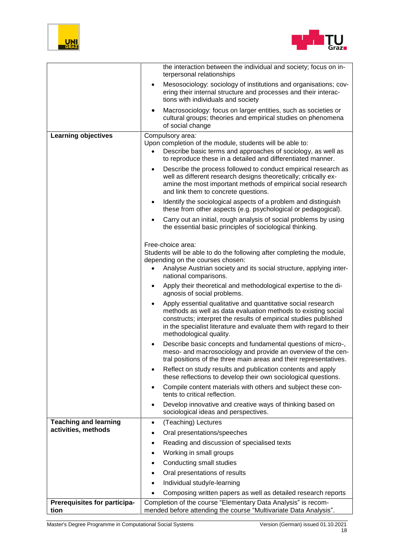



|                                      | the interaction between the individual and society; focus on in-<br>terpersonal relationships                                                                                                                                                                                                       |
|--------------------------------------|-----------------------------------------------------------------------------------------------------------------------------------------------------------------------------------------------------------------------------------------------------------------------------------------------------|
|                                      | Mesosociology: sociology of institutions and organisations; cov-<br>ering their internal structure and processes and their interac-<br>tions with individuals and society                                                                                                                           |
|                                      | Macrosociology: focus on larger entities, such as societies or<br>٠<br>cultural groups; theories and empirical studies on phenomena<br>of social change                                                                                                                                             |
| <b>Learning objectives</b>           | Compulsory area:                                                                                                                                                                                                                                                                                    |
|                                      | Upon completion of the module, students will be able to:<br>Describe basic terms and approaches of sociology, as well as<br>$\bullet$<br>to reproduce these in a detailed and differentiated manner.                                                                                                |
|                                      | Describe the process followed to conduct empirical research as<br>$\bullet$<br>well as different research designs theoretically; critically ex-<br>amine the most important methods of empirical social research<br>and link them to concrete questions.                                            |
|                                      | Identify the sociological aspects of a problem and distinguish<br>$\bullet$<br>these from other aspects (e.g. psychological or pedagogical).                                                                                                                                                        |
|                                      | Carry out an initial, rough analysis of social problems by using<br>the essential basic principles of sociological thinking.                                                                                                                                                                        |
|                                      | Free-choice area:<br>Students will be able to do the following after completing the module,                                                                                                                                                                                                         |
|                                      | depending on the courses chosen:                                                                                                                                                                                                                                                                    |
|                                      | Analyse Austrian society and its social structure, applying inter-<br>national comparisons.                                                                                                                                                                                                         |
|                                      | Apply their theoretical and methodological expertise to the di-<br>$\bullet$<br>agnosis of social problems.                                                                                                                                                                                         |
|                                      | Apply essential qualitative and quantitative social research<br>methods as well as data evaluation methods to existing social<br>constructs; interpret the results of empirical studies published<br>in the specialist literature and evaluate them with regard to their<br>methodological quality. |
|                                      | Describe basic concepts and fundamental questions of micro-,<br>meso- and macrosociology and provide an overview of the cen-<br>tral positions of the three main areas and their representatives.                                                                                                   |
|                                      | Reflect on study results and publication contents and apply<br>$\bullet$<br>these reflections to develop their own sociological questions.                                                                                                                                                          |
|                                      | Compile content materials with others and subject these con-<br>tents to critical reflection.                                                                                                                                                                                                       |
|                                      | Develop innovative and creative ways of thinking based on<br>sociological ideas and perspectives.                                                                                                                                                                                                   |
| <b>Teaching and learning</b>         | (Teaching) Lectures<br>$\bullet$                                                                                                                                                                                                                                                                    |
| activities, methods                  | Oral presentations/speeches<br>$\bullet$                                                                                                                                                                                                                                                            |
|                                      | Reading and discussion of specialised texts<br>$\bullet$                                                                                                                                                                                                                                            |
|                                      | Working in small groups<br>$\bullet$                                                                                                                                                                                                                                                                |
|                                      | Conducting small studies                                                                                                                                                                                                                                                                            |
|                                      | Oral presentations of results<br>$\bullet$                                                                                                                                                                                                                                                          |
|                                      | Individual study/e-learning                                                                                                                                                                                                                                                                         |
|                                      | Composing written papers as well as detailed research reports                                                                                                                                                                                                                                       |
| Prerequisites for participa-<br>tion | Completion of the course "Elementary Data Analysis" is recom-<br>mended before attending the course "Multivariate Data Analysis".                                                                                                                                                                   |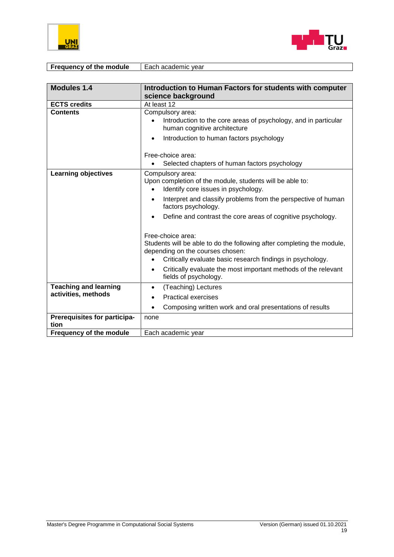



| <b>Frequency of the module</b> | Each academic year |
|--------------------------------|--------------------|

| <b>Modules 1.4</b>                   | Introduction to Human Factors for students with computer                                                                                                                                      |
|--------------------------------------|-----------------------------------------------------------------------------------------------------------------------------------------------------------------------------------------------|
|                                      | science background                                                                                                                                                                            |
| <b>ECTS credits</b>                  | At least 12                                                                                                                                                                                   |
| <b>Contents</b>                      | Compulsory area:<br>Introduction to the core areas of psychology, and in particular<br>human cognitive architecture                                                                           |
|                                      | Introduction to human factors psychology<br>$\bullet$<br>Free-choice area:                                                                                                                    |
|                                      | Selected chapters of human factors psychology                                                                                                                                                 |
| <b>Learning objectives</b>           | Compulsory area:<br>Upon completion of the module, students will be able to:<br>Identify core issues in psychology.<br>$\bullet$                                                              |
|                                      | Interpret and classify problems from the perspective of human<br>$\bullet$<br>factors psychology.                                                                                             |
|                                      | Define and contrast the core areas of cognitive psychology.                                                                                                                                   |
|                                      | Free-choice area:<br>Students will be able to do the following after completing the module,<br>depending on the courses chosen:<br>Critically evaluate basic research findings in psychology. |
|                                      | Critically evaluate the most important methods of the relevant<br>fields of psychology.                                                                                                       |
| <b>Teaching and learning</b>         | (Teaching) Lectures<br>$\bullet$                                                                                                                                                              |
| activities, methods                  | <b>Practical exercises</b><br>$\bullet$                                                                                                                                                       |
|                                      | Composing written work and oral presentations of results<br>$\bullet$                                                                                                                         |
| Prerequisites for participa-<br>tion | none                                                                                                                                                                                          |
| Frequency of the module              | Each academic year                                                                                                                                                                            |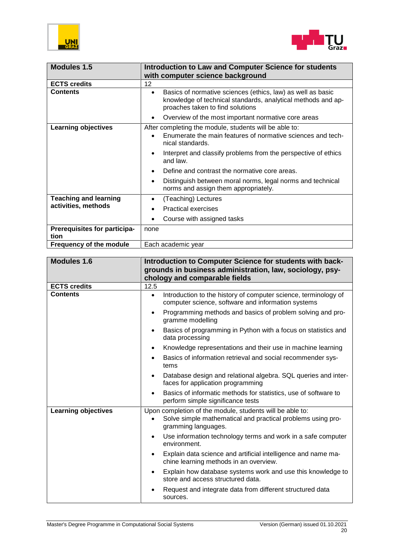



| Modules 1.5                                 | <b>Introduction to Law and Computer Science for students</b><br>with computer science background                                                                             |
|---------------------------------------------|------------------------------------------------------------------------------------------------------------------------------------------------------------------------------|
| <b>ECTS credits</b>                         | 12                                                                                                                                                                           |
| <b>Contents</b>                             | Basics of normative sciences (ethics, law) as well as basic<br>$\bullet$<br>knowledge of technical standards, analytical methods and ap-<br>proaches taken to find solutions |
|                                             | Overview of the most important normative core areas<br>$\bullet$                                                                                                             |
| <b>Learning objectives</b>                  | After completing the module, students will be able to:<br>Enumerate the main features of normative sciences and tech-<br>nical standards.                                    |
|                                             | Interpret and classify problems from the perspective of ethics<br>and law.                                                                                                   |
|                                             | Define and contrast the normative core areas.                                                                                                                                |
|                                             | Distinguish between moral norms, legal norms and technical<br>$\bullet$<br>norms and assign them appropriately.                                                              |
| <b>Teaching and learning</b>                | (Teaching) Lectures                                                                                                                                                          |
| activities, methods                         | <b>Practical exercises</b>                                                                                                                                                   |
|                                             | Course with assigned tasks                                                                                                                                                   |
| <b>Prerequisites for participa-</b><br>tion | none                                                                                                                                                                         |
| <b>Frequency of the module</b>              | Each academic year                                                                                                                                                           |

| <b>Modules 1.6</b>         | Introduction to Computer Science for students with back-<br>grounds in business administration, law, sociology, psy-<br>chology and comparable fields |
|----------------------------|-------------------------------------------------------------------------------------------------------------------------------------------------------|
| <b>ECTS credits</b>        | 12.5                                                                                                                                                  |
| <b>Contents</b>            | Introduction to the history of computer science, terminology of<br>$\bullet$<br>computer science, software and information systems                    |
|                            | Programming methods and basics of problem solving and pro-<br>gramme modelling                                                                        |
|                            | Basics of programming in Python with a focus on statistics and<br>data processing                                                                     |
|                            | Knowledge representations and their use in machine learning                                                                                           |
|                            | Basics of information retrieval and social recommender sys-<br>tems                                                                                   |
|                            | Database design and relational algebra. SQL queries and inter-<br>$\bullet$<br>faces for application programming                                      |
|                            | Basics of informatic methods for statistics, use of software to<br>perform simple significance tests                                                  |
| <b>Learning objectives</b> | Upon completion of the module, students will be able to:<br>Solve simple mathematical and practical problems using pro-<br>gramming languages.        |
|                            | Use information technology terms and work in a safe computer<br>environment.                                                                          |
|                            | Explain data science and artificial intelligence and name ma-<br>$\bullet$<br>chine learning methods in an overview.                                  |
|                            | Explain how database systems work and use this knowledge to<br>store and access structured data.                                                      |
|                            | Request and integrate data from different structured data<br>sources.                                                                                 |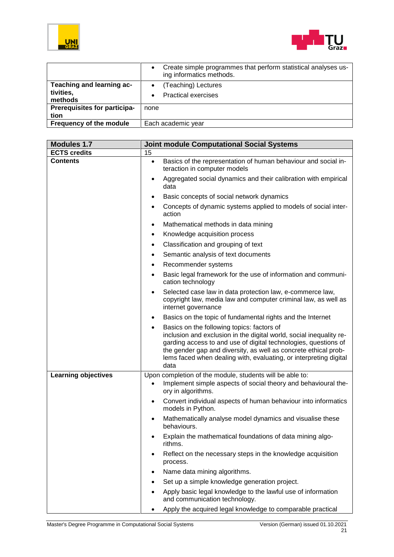



|                                                   | Create simple programmes that perform statistical analyses us-<br>$\bullet$<br>ing informatics methods. |
|---------------------------------------------------|---------------------------------------------------------------------------------------------------------|
| Teaching and learning ac-<br>tivities,<br>methods | (Teaching) Lectures<br><b>Practical exercises</b>                                                       |
| Prerequisites for participa-<br>tion              | none                                                                                                    |
| Frequency of the module                           | Each academic year                                                                                      |

| <b>Modules 1.7</b>         | <b>Joint module Computational Social Systems</b>                                                                                                                                                                                                                                                                                                  |
|----------------------------|---------------------------------------------------------------------------------------------------------------------------------------------------------------------------------------------------------------------------------------------------------------------------------------------------------------------------------------------------|
| <b>ECTS</b> credits        | 15                                                                                                                                                                                                                                                                                                                                                |
| <b>Contents</b>            | Basics of the representation of human behaviour and social in-<br>$\bullet$<br>teraction in computer models                                                                                                                                                                                                                                       |
|                            | Aggregated social dynamics and their calibration with empirical<br>$\bullet$<br>data                                                                                                                                                                                                                                                              |
|                            | Basic concepts of social network dynamics<br>$\bullet$                                                                                                                                                                                                                                                                                            |
|                            | Concepts of dynamic systems applied to models of social inter-<br>٠<br>action                                                                                                                                                                                                                                                                     |
|                            | Mathematical methods in data mining<br>٠                                                                                                                                                                                                                                                                                                          |
|                            | Knowledge acquisition process<br>$\bullet$                                                                                                                                                                                                                                                                                                        |
|                            | Classification and grouping of text<br>$\bullet$                                                                                                                                                                                                                                                                                                  |
|                            | Semantic analysis of text documents<br>$\bullet$                                                                                                                                                                                                                                                                                                  |
|                            | Recommender systems<br>٠                                                                                                                                                                                                                                                                                                                          |
|                            | Basic legal framework for the use of information and communi-<br>$\bullet$<br>cation technology                                                                                                                                                                                                                                                   |
|                            | Selected case law in data protection law, e-commerce law,<br>copyright law, media law and computer criminal law, as well as<br>internet governance                                                                                                                                                                                                |
|                            | Basics on the topic of fundamental rights and the Internet<br>٠                                                                                                                                                                                                                                                                                   |
|                            | Basics on the following topics: factors of<br>$\bullet$<br>inclusion and exclusion in the digital world, social inequality re-<br>garding access to and use of digital technologies, questions of<br>the gender gap and diversity, as well as concrete ethical prob-<br>lems faced when dealing with, evaluating, or interpreting digital<br>data |
| <b>Learning objectives</b> | Upon completion of the module, students will be able to:<br>Implement simple aspects of social theory and behavioural the-<br>ory in algorithms.                                                                                                                                                                                                  |
|                            | Convert individual aspects of human behaviour into informatics<br>$\bullet$<br>models in Python.                                                                                                                                                                                                                                                  |
|                            | Mathematically analyse model dynamics and visualise these<br>behaviours.                                                                                                                                                                                                                                                                          |
|                            | Explain the mathematical foundations of data mining algo-<br>rithms.                                                                                                                                                                                                                                                                              |
|                            | Reflect on the necessary steps in the knowledge acquisition<br>process.                                                                                                                                                                                                                                                                           |
|                            | Name data mining algorithms.                                                                                                                                                                                                                                                                                                                      |
|                            | Set up a simple knowledge generation project.                                                                                                                                                                                                                                                                                                     |
|                            | Apply basic legal knowledge to the lawful use of information<br>and communication technology.                                                                                                                                                                                                                                                     |
|                            | Apply the acquired legal knowledge to comparable practical                                                                                                                                                                                                                                                                                        |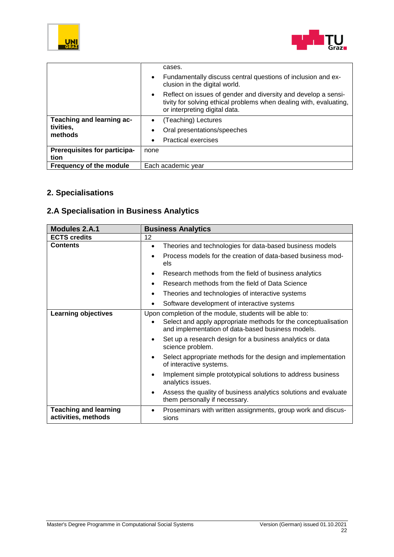



|                                     | cases.                                                                                                                                                                             |
|-------------------------------------|------------------------------------------------------------------------------------------------------------------------------------------------------------------------------------|
|                                     | Fundamentally discuss central questions of inclusion and ex-<br>$\bullet$<br>clusion in the digital world.                                                                         |
|                                     | Reflect on issues of gender and diversity and develop a sensi-<br>$\bullet$<br>tivity for solving ethical problems when dealing with, evaluating,<br>or interpreting digital data. |
| Teaching and learning ac-           | (Teaching) Lectures<br>$\bullet$                                                                                                                                                   |
| tivities,<br>methods                | Oral presentations/speeches<br>$\bullet$                                                                                                                                           |
|                                     | <b>Practical exercises</b><br>$\bullet$                                                                                                                                            |
| <b>Prerequisites for participa-</b> | none                                                                                                                                                                               |
| tion                                |                                                                                                                                                                                    |
| Frequency of the module             | Each academic year                                                                                                                                                                 |

#### **2. Specialisations**

## **2.A Specialisation in Business Analytics**

| <b>Modules 2.A.1</b>                                | <b>Business Analytics</b>                                                                                                                                                       |
|-----------------------------------------------------|---------------------------------------------------------------------------------------------------------------------------------------------------------------------------------|
| <b>ECTS credits</b>                                 | 12                                                                                                                                                                              |
| <b>Contents</b>                                     | Theories and technologies for data-based business models<br>$\bullet$                                                                                                           |
|                                                     | Process models for the creation of data-based business mod-<br>els                                                                                                              |
|                                                     | Research methods from the field of business analytics                                                                                                                           |
|                                                     | Research methods from the field of Data Science                                                                                                                                 |
|                                                     | Theories and technologies of interactive systems<br>$\bullet$                                                                                                                   |
|                                                     | Software development of interactive systems                                                                                                                                     |
| <b>Learning objectives</b>                          | Upon completion of the module, students will be able to:<br>Select and apply appropriate methods for the conceptualisation<br>and implementation of data-based business models. |
|                                                     | Set up a research design for a business analytics or data<br>science problem.                                                                                                   |
|                                                     | Select appropriate methods for the design and implementation<br>of interactive systems.                                                                                         |
|                                                     | Implement simple prototypical solutions to address business<br>analytics issues.                                                                                                |
|                                                     | Assess the quality of business analytics solutions and evaluate<br>them personally if necessary.                                                                                |
| <b>Teaching and learning</b><br>activities, methods | Proseminars with written assignments, group work and discus-<br>sions                                                                                                           |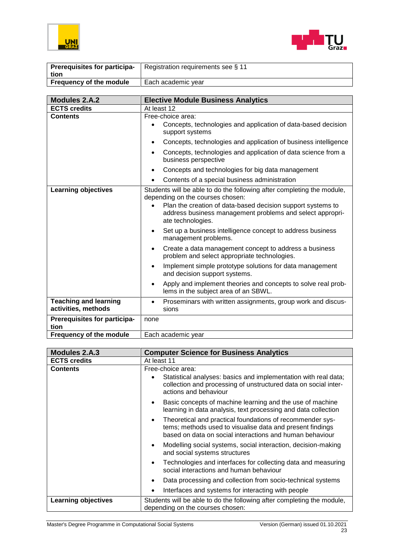



| <b>Prerequisites for participa-</b><br>tion | Registration requirements see § 11 |
|---------------------------------------------|------------------------------------|
| <b>Frequency of the module</b>              | Each academic year                 |

| <b>Modules 2.A.2</b>                                | <b>Elective Module Business Analytics</b>                                                                                                                                                                                                                                                                                                                                                                                                                                                                                                                                                                                                                                                                             |
|-----------------------------------------------------|-----------------------------------------------------------------------------------------------------------------------------------------------------------------------------------------------------------------------------------------------------------------------------------------------------------------------------------------------------------------------------------------------------------------------------------------------------------------------------------------------------------------------------------------------------------------------------------------------------------------------------------------------------------------------------------------------------------------------|
| <b>ECTS credits</b>                                 | At least 12                                                                                                                                                                                                                                                                                                                                                                                                                                                                                                                                                                                                                                                                                                           |
| <b>Contents</b>                                     | Free-choice area:<br>Concepts, technologies and application of data-based decision<br>support systems                                                                                                                                                                                                                                                                                                                                                                                                                                                                                                                                                                                                                 |
|                                                     | Concepts, technologies and application of business intelligence                                                                                                                                                                                                                                                                                                                                                                                                                                                                                                                                                                                                                                                       |
|                                                     | Concepts, technologies and application of data science from a<br>$\bullet$<br>business perspective                                                                                                                                                                                                                                                                                                                                                                                                                                                                                                                                                                                                                    |
|                                                     | Concepts and technologies for big data management<br>$\bullet$                                                                                                                                                                                                                                                                                                                                                                                                                                                                                                                                                                                                                                                        |
|                                                     | Contents of a special business administration<br>$\bullet$                                                                                                                                                                                                                                                                                                                                                                                                                                                                                                                                                                                                                                                            |
| <b>Learning objectives</b>                          | Students will be able to do the following after completing the module,<br>depending on the courses chosen:<br>Plan the creation of data-based decision support systems to<br>address business management problems and select appropri-<br>ate technologies.<br>Set up a business intelligence concept to address business<br>$\bullet$<br>management problems.<br>Create a data management concept to address a business<br>$\bullet$<br>problem and select appropriate technologies.<br>Implement simple prototype solutions for data management<br>$\bullet$<br>and decision support systems.<br>Apply and implement theories and concepts to solve real prob-<br>$\bullet$<br>lems in the subject area of an SBWL. |
| <b>Teaching and learning</b><br>activities, methods | Proseminars with written assignments, group work and discus-<br>$\bullet$<br>sions                                                                                                                                                                                                                                                                                                                                                                                                                                                                                                                                                                                                                                    |
| Prerequisites for participa-<br>tion                | none                                                                                                                                                                                                                                                                                                                                                                                                                                                                                                                                                                                                                                                                                                                  |
| Frequency of the module                             | Each academic year                                                                                                                                                                                                                                                                                                                                                                                                                                                                                                                                                                                                                                                                                                    |

| Modules 2.A.3              | <b>Computer Science for Business Analytics</b>                                                                                                                                          |
|----------------------------|-----------------------------------------------------------------------------------------------------------------------------------------------------------------------------------------|
| <b>ECTS credits</b>        | At least 11                                                                                                                                                                             |
| <b>Contents</b>            | Free-choice area:                                                                                                                                                                       |
|                            | Statistical analyses: basics and implementation with real data;<br>collection and processing of unstructured data on social inter-<br>actions and behaviour                             |
|                            | Basic concepts of machine learning and the use of machine<br>$\bullet$<br>learning in data analysis, text processing and data collection                                                |
|                            | Theoretical and practical foundations of recommender sys-<br>٠<br>tems; methods used to visualise data and present findings<br>based on data on social interactions and human behaviour |
|                            | Modelling social systems, social interaction, decision-making<br>$\bullet$<br>and social systems structures                                                                             |
|                            | Technologies and interfaces for collecting data and measuring<br>$\bullet$<br>social interactions and human behaviour                                                                   |
|                            | Data processing and collection from socio-technical systems                                                                                                                             |
|                            | Interfaces and systems for interacting with people                                                                                                                                      |
| <b>Learning objectives</b> | Students will be able to do the following after completing the module,<br>depending on the courses chosen:                                                                              |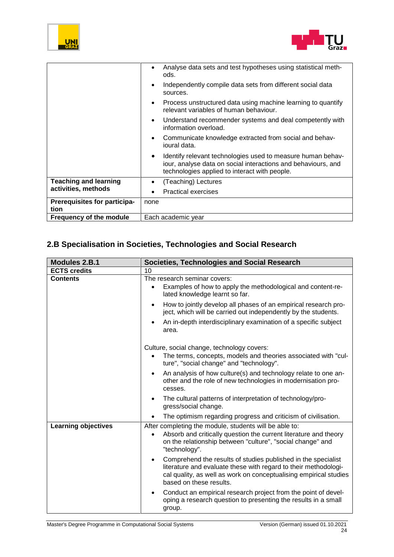



|                                      | Analyse data sets and test hypotheses using statistical meth-<br>ods.                                                                                                                      |
|--------------------------------------|--------------------------------------------------------------------------------------------------------------------------------------------------------------------------------------------|
|                                      | Independently compile data sets from different social data<br>$\bullet$<br>sources.                                                                                                        |
|                                      | Process unstructured data using machine learning to quantify<br>$\bullet$<br>relevant variables of human behaviour.                                                                        |
|                                      | Understand recommender systems and deal competently with<br>$\bullet$<br>information overload.                                                                                             |
|                                      | Communicate knowledge extracted from social and behav-<br>$\bullet$<br>ioural data.                                                                                                        |
|                                      | Identify relevant technologies used to measure human behav-<br>$\bullet$<br>iour, analyse data on social interactions and behaviours, and<br>technologies applied to interact with people. |
| <b>Teaching and learning</b>         | (Teaching) Lectures<br>$\bullet$                                                                                                                                                           |
| activities, methods                  | <b>Practical exercises</b>                                                                                                                                                                 |
| Prerequisites for participa-<br>tion | none                                                                                                                                                                                       |
| Frequency of the module              | Each academic year                                                                                                                                                                         |

## **2.B Specialisation in Societies, Technologies and Social Research**

| <b>Modules 2.B.1</b>       | <b>Societies, Technologies and Social Research</b>                                                                                                                                                                                            |
|----------------------------|-----------------------------------------------------------------------------------------------------------------------------------------------------------------------------------------------------------------------------------------------|
| <b>ECTS credits</b>        | 10                                                                                                                                                                                                                                            |
| <b>Contents</b>            | The research seminar covers:<br>Examples of how to apply the methodological and content-re-<br>$\bullet$<br>lated knowledge learnt so far.                                                                                                    |
|                            | How to jointly develop all phases of an empirical research pro-<br>$\bullet$<br>ject, which will be carried out independently by the students.                                                                                                |
|                            | An in-depth interdisciplinary examination of a specific subject<br>$\bullet$<br>area.                                                                                                                                                         |
|                            | Culture, social change, technology covers:<br>The terms, concepts, models and theories associated with "cul-<br>$\bullet$<br>ture", "social change" and "technology".                                                                         |
|                            | An analysis of how culture(s) and technology relate to one an-<br>$\bullet$<br>other and the role of new technologies in modernisation pro-<br>cesses.                                                                                        |
|                            | The cultural patterns of interpretation of technology/pro-<br>$\bullet$<br>gress/social change.                                                                                                                                               |
|                            | The optimism regarding progress and criticism of civilisation.                                                                                                                                                                                |
| <b>Learning objectives</b> | After completing the module, students will be able to:<br>Absorb and critically question the current literature and theory<br>$\bullet$<br>on the relationship between "culture", "social change" and<br>"technology".                        |
|                            | Comprehend the results of studies published in the specialist<br>$\bullet$<br>literature and evaluate these with regard to their methodologi-<br>cal quality, as well as work on conceptualising empirical studies<br>based on these results. |
|                            | Conduct an empirical research project from the point of devel-<br>$\bullet$<br>oping a research question to presenting the results in a small<br>group.                                                                                       |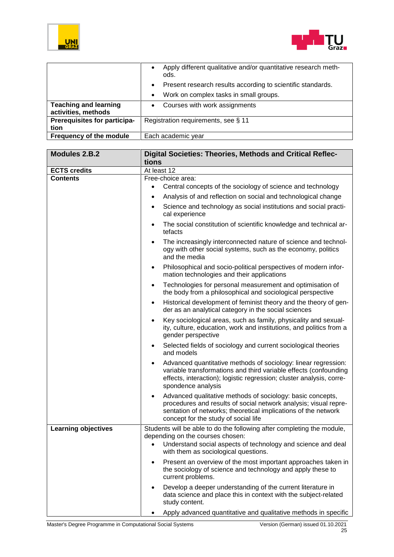



|                              | Apply different qualitative and/or quantitative research meth-<br>$\bullet$<br>ods. |
|------------------------------|-------------------------------------------------------------------------------------|
|                              | Present research results according to scientific standards.<br>$\bullet$            |
|                              | Work on complex tasks in small groups.<br>$\bullet$                                 |
| <b>Teaching and learning</b> | Courses with work assignments<br>$\bullet$                                          |
| activities, methods          |                                                                                     |
| Prerequisites for participa- | Registration requirements, see § 11                                                 |
| tion                         |                                                                                     |
| Frequency of the module      | Each academic year                                                                  |

| <b>Modules 2.B.2</b>                   | Digital Societies: Theories, Methods and Critical Reflec-                                                                                                                                                                                     |
|----------------------------------------|-----------------------------------------------------------------------------------------------------------------------------------------------------------------------------------------------------------------------------------------------|
|                                        | tions                                                                                                                                                                                                                                         |
| <b>ECTS credits</b><br><b>Contents</b> | At least 12<br>Free-choice area:                                                                                                                                                                                                              |
|                                        | Central concepts of the sociology of science and technology<br>$\bullet$                                                                                                                                                                      |
|                                        | Analysis of and reflection on social and technological change<br>$\bullet$                                                                                                                                                                    |
|                                        |                                                                                                                                                                                                                                               |
|                                        | Science and technology as social institutions and social practi-<br>$\bullet$<br>cal experience                                                                                                                                               |
|                                        | The social constitution of scientific knowledge and technical ar-<br>$\bullet$<br>tefacts                                                                                                                                                     |
|                                        | The increasingly interconnected nature of science and technol-<br>$\bullet$<br>ogy with other social systems, such as the economy, politics<br>and the media                                                                                  |
|                                        | Philosophical and socio-political perspectives of modern infor-<br>$\bullet$<br>mation technologies and their applications                                                                                                                    |
|                                        | Technologies for personal measurement and optimisation of<br>$\bullet$<br>the body from a philosophical and sociological perspective                                                                                                          |
|                                        | Historical development of feminist theory and the theory of gen-<br>$\bullet$<br>der as an analytical category in the social sciences                                                                                                         |
|                                        | Key sociological areas, such as family, physicality and sexual-<br>$\bullet$<br>ity, culture, education, work and institutions, and politics from a<br>gender perspective                                                                     |
|                                        | Selected fields of sociology and current sociological theories<br>$\bullet$<br>and models                                                                                                                                                     |
|                                        | Advanced quantitative methods of sociology: linear regression:<br>٠<br>variable transformations and third variable effects (confounding<br>effects, interaction); logistic regression; cluster analysis, corre-<br>spondence analysis         |
|                                        | Advanced qualitative methods of sociology: basic concepts,<br>٠<br>procedures and results of social network analysis; visual repre-<br>sentation of networks; theoretical implications of the network<br>concept for the study of social life |
| <b>Learning objectives</b>             | Students will be able to do the following after completing the module,<br>depending on the courses chosen:<br>• Understand social aspects of technology and science and deal<br>with them as sociological questions.                          |
|                                        | Present an overview of the most important approaches taken in<br>the sociology of science and technology and apply these to<br>current problems.                                                                                              |
|                                        | Develop a deeper understanding of the current literature in<br>data science and place this in context with the subject-related<br>study content.                                                                                              |
|                                        | Apply advanced quantitative and qualitative methods in specific                                                                                                                                                                               |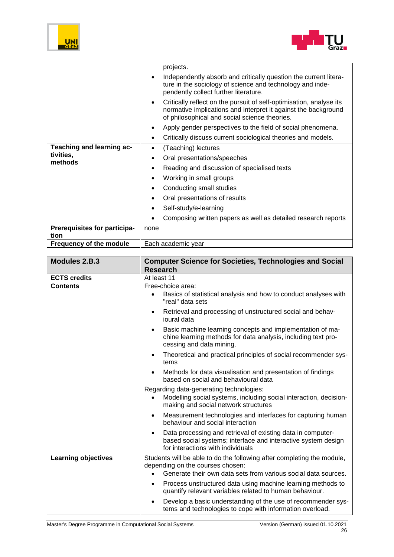



|                                      | projects.                                                                                                                                                                                           |
|--------------------------------------|-----------------------------------------------------------------------------------------------------------------------------------------------------------------------------------------------------|
|                                      | Independently absorb and critically question the current litera-<br>$\bullet$<br>ture in the sociology of science and technology and inde-<br>pendently collect further literature.                 |
|                                      | Critically reflect on the pursuit of self-optimisation, analyse its<br>$\bullet$<br>normative implications and interpret it against the background<br>of philosophical and social science theories. |
|                                      | Apply gender perspectives to the field of social phenomena.                                                                                                                                         |
|                                      | Critically discuss current sociological theories and models.                                                                                                                                        |
| Teaching and learning ac-            | (Teaching) lectures<br>$\bullet$                                                                                                                                                                    |
| tivities,<br>methods                 | Oral presentations/speeches<br>$\bullet$                                                                                                                                                            |
|                                      | Reading and discussion of specialised texts<br>٠                                                                                                                                                    |
|                                      | Working in small groups                                                                                                                                                                             |
|                                      | Conducting small studies                                                                                                                                                                            |
|                                      | Oral presentations of results                                                                                                                                                                       |
|                                      | Self-study/e-learning                                                                                                                                                                               |
|                                      | Composing written papers as well as detailed research reports                                                                                                                                       |
| Prerequisites for participa-<br>tion | none                                                                                                                                                                                                |
| Frequency of the module              | Each academic year                                                                                                                                                                                  |

| Modules 2.B.3              | <b>Computer Science for Societies, Technologies and Social</b><br><b>Research</b>                                                                                              |
|----------------------------|--------------------------------------------------------------------------------------------------------------------------------------------------------------------------------|
| <b>ECTS credits</b>        | At least 11                                                                                                                                                                    |
| <b>Contents</b>            | Free-choice area:<br>Basics of statistical analysis and how to conduct analyses with<br>"real" data sets                                                                       |
|                            | Retrieval and processing of unstructured social and behav-<br>٠<br>ioural data                                                                                                 |
|                            | Basic machine learning concepts and implementation of ma-<br>chine learning methods for data analysis, including text pro-<br>cessing and data mining.                         |
|                            | Theoretical and practical principles of social recommender sys-<br>$\bullet$<br>tems                                                                                           |
|                            | Methods for data visualisation and presentation of findings<br>based on social and behavioural data                                                                            |
|                            | Regarding data-generating technologies:<br>Modelling social systems, including social interaction, decision-<br>making and social network structures                           |
|                            | Measurement technologies and interfaces for capturing human<br>$\bullet$<br>behaviour and social interaction                                                                   |
|                            | Data processing and retrieval of existing data in computer-<br>$\bullet$<br>based social systems; interface and interactive system design<br>for interactions with individuals |
| <b>Learning objectives</b> | Students will be able to do the following after completing the module,<br>depending on the courses chosen:                                                                     |
|                            | Generate their own data sets from various social data sources.                                                                                                                 |
|                            | Process unstructured data using machine learning methods to<br>$\bullet$<br>quantify relevant variables related to human behaviour.                                            |
|                            | Develop a basic understanding of the use of recommender sys-<br>tems and technologies to cope with information overload.                                                       |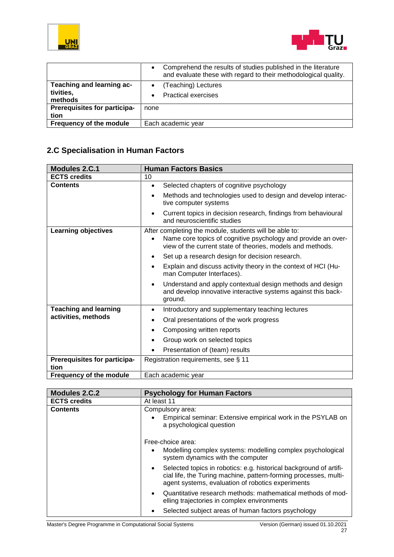



|                                                   | Comprehend the results of studies published in the literature<br>$\bullet$<br>and evaluate these with regard to their methodological quality. |
|---------------------------------------------------|-----------------------------------------------------------------------------------------------------------------------------------------------|
| Teaching and learning ac-<br>tivities,<br>methods | (Teaching) Lectures<br><b>Practical exercises</b>                                                                                             |
| Prerequisites for participa-<br>tion              | none                                                                                                                                          |
| Frequency of the module                           | Each academic year                                                                                                                            |

## **2.C Specialisation in Human Factors**

| <b>Modules 2.C.1</b>                 | <b>Human Factors Basics</b>                                                                                                                                                                        |
|--------------------------------------|----------------------------------------------------------------------------------------------------------------------------------------------------------------------------------------------------|
| <b>ECTS credits</b>                  | 10                                                                                                                                                                                                 |
| <b>Contents</b>                      | Selected chapters of cognitive psychology<br>$\bullet$                                                                                                                                             |
|                                      | Methods and technologies used to design and develop interac-<br>tive computer systems                                                                                                              |
|                                      | Current topics in decision research, findings from behavioural<br>and neuroscientific studies                                                                                                      |
| <b>Learning objectives</b>           | After completing the module, students will be able to:<br>Name core topics of cognitive psychology and provide an over-<br>$\bullet$<br>view of the current state of theories, models and methods. |
|                                      | Set up a research design for decision research.<br>$\bullet$                                                                                                                                       |
|                                      | Explain and discuss activity theory in the context of HCI (Hu-<br>man Computer Interfaces).                                                                                                        |
|                                      | Understand and apply contextual design methods and design<br>$\bullet$<br>and develop innovative interactive systems against this back-<br>ground.                                                 |
| <b>Teaching and learning</b>         | Introductory and supplementary teaching lectures<br>$\bullet$                                                                                                                                      |
| activities, methods                  | Oral presentations of the work progress<br>$\bullet$                                                                                                                                               |
|                                      | Composing written reports                                                                                                                                                                          |
|                                      | Group work on selected topics                                                                                                                                                                      |
|                                      | Presentation of (team) results                                                                                                                                                                     |
| Prerequisites for participa-<br>tion | Registration requirements, see § 11                                                                                                                                                                |
| Frequency of the module              | Each academic year                                                                                                                                                                                 |

| <b>Modules 2.C.2</b> | <b>Psychology for Human Factors</b>                                                                                                                                                         |
|----------------------|---------------------------------------------------------------------------------------------------------------------------------------------------------------------------------------------|
| <b>ECTS credits</b>  | At least 11                                                                                                                                                                                 |
| <b>Contents</b>      | Compulsory area:<br>Empirical seminar: Extensive empirical work in the PSYLAB on<br>a psychological question                                                                                |
|                      | Free-choice area:<br>Modelling complex systems: modelling complex psychological<br>system dynamics with the computer                                                                        |
|                      | Selected topics in robotics: e.g. historical background of artifi-<br>cial life, the Turing machine, pattern-forming processes, multi-<br>agent systems, evaluation of robotics experiments |
|                      | Quantitative research methods: mathematical methods of mod-<br>elling trajectories in complex environments                                                                                  |
|                      | Selected subject areas of human factors psychology                                                                                                                                          |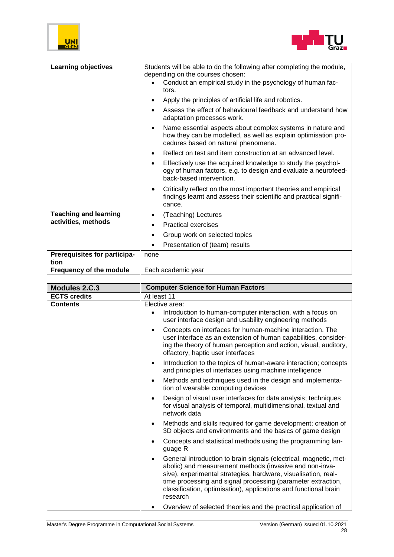



| <b>Learning objectives</b>           | Students will be able to do the following after completing the module,<br>depending on the courses chosen:                                                                       |
|--------------------------------------|----------------------------------------------------------------------------------------------------------------------------------------------------------------------------------|
|                                      | Conduct an empirical study in the psychology of human fac-<br>tors.                                                                                                              |
|                                      | Apply the principles of artificial life and robotics.                                                                                                                            |
|                                      | Assess the effect of behavioural feedback and understand how<br>adaptation processes work.                                                                                       |
|                                      | Name essential aspects about complex systems in nature and<br>$\bullet$<br>how they can be modelled, as well as explain optimisation pro-<br>cedures based on natural phenomena. |
|                                      | Reflect on test and item construction at an advanced level.<br>$\bullet$                                                                                                         |
|                                      | Effectively use the acquired knowledge to study the psychol-<br>٠<br>ogy of human factors, e.g. to design and evaluate a neurofeed-<br>back-based intervention.                  |
|                                      | Critically reflect on the most important theories and empirical<br>٠<br>findings learnt and assess their scientific and practical signifi-<br>cance.                             |
| <b>Teaching and learning</b>         | (Teaching) Lectures                                                                                                                                                              |
| activities, methods                  | <b>Practical exercises</b>                                                                                                                                                       |
|                                      | Group work on selected topics                                                                                                                                                    |
|                                      | Presentation of (team) results                                                                                                                                                   |
| Prerequisites for participa-<br>tion | none                                                                                                                                                                             |
| <b>Frequency of the module</b>       | Each academic year                                                                                                                                                               |

| Modules 2.C.3       | <b>Computer Science for Human Factors</b>                                                                                                                                                                                                                                                                                                                   |
|---------------------|-------------------------------------------------------------------------------------------------------------------------------------------------------------------------------------------------------------------------------------------------------------------------------------------------------------------------------------------------------------|
| <b>ECTS credits</b> | At least 11                                                                                                                                                                                                                                                                                                                                                 |
| <b>Contents</b>     | Elective area:<br>Introduction to human-computer interaction, with a focus on<br>$\bullet$<br>user interface design and usability engineering methods                                                                                                                                                                                                       |
|                     | Concepts on interfaces for human-machine interaction. The<br>$\bullet$<br>user interface as an extension of human capabilities, consider-<br>ing the theory of human perception and action, visual, auditory,<br>olfactory, haptic user interfaces                                                                                                          |
|                     | Introduction to the topics of human-aware interaction; concepts<br>$\bullet$<br>and principles of interfaces using machine intelligence                                                                                                                                                                                                                     |
|                     | Methods and techniques used in the design and implementa-<br>$\bullet$<br>tion of wearable computing devices                                                                                                                                                                                                                                                |
|                     | Design of visual user interfaces for data analysis; techniques<br>$\bullet$<br>for visual analysis of temporal, multidimensional, textual and<br>network data                                                                                                                                                                                               |
|                     | Methods and skills required for game development; creation of<br>$\bullet$<br>3D objects and environments and the basics of game design                                                                                                                                                                                                                     |
|                     | Concepts and statistical methods using the programming lan-<br>$\bullet$<br>guage R                                                                                                                                                                                                                                                                         |
|                     | General introduction to brain signals (electrical, magnetic, met-<br>$\bullet$<br>abolic) and measurement methods (invasive and non-inva-<br>sive), experimental strategies, hardware, visualisation, real-<br>time processing and signal processing (parameter extraction,<br>classification, optimisation), applications and functional brain<br>research |
|                     | Overview of selected theories and the practical application of                                                                                                                                                                                                                                                                                              |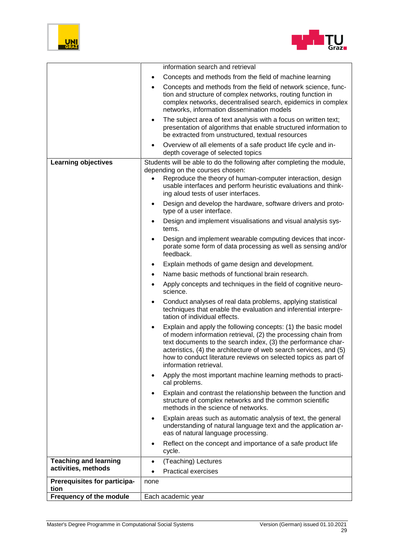



|                                      | information search and retrieval                                                                                                                                                                                                                                                                                                                                        |
|--------------------------------------|-------------------------------------------------------------------------------------------------------------------------------------------------------------------------------------------------------------------------------------------------------------------------------------------------------------------------------------------------------------------------|
|                                      | Concepts and methods from the field of machine learning<br>$\bullet$                                                                                                                                                                                                                                                                                                    |
|                                      | Concepts and methods from the field of network science, func-<br>$\bullet$<br>tion and structure of complex networks, routing function in<br>complex networks, decentralised search, epidemics in complex<br>networks, information dissemination models                                                                                                                 |
|                                      | The subject area of text analysis with a focus on written text;<br>٠<br>presentation of algorithms that enable structured information to<br>be extracted from unstructured, textual resources                                                                                                                                                                           |
|                                      | Overview of all elements of a safe product life cycle and in-<br>$\bullet$<br>depth coverage of selected topics                                                                                                                                                                                                                                                         |
| <b>Learning objectives</b>           | Students will be able to do the following after completing the module,<br>depending on the courses chosen:                                                                                                                                                                                                                                                              |
|                                      | Reproduce the theory of human-computer interaction, design<br>usable interfaces and perform heuristic evaluations and think-<br>ing aloud tests of user interfaces.                                                                                                                                                                                                     |
|                                      | Design and develop the hardware, software drivers and proto-<br>٠<br>type of a user interface.                                                                                                                                                                                                                                                                          |
|                                      | Design and implement visualisations and visual analysis sys-<br>tems.                                                                                                                                                                                                                                                                                                   |
|                                      | Design and implement wearable computing devices that incor-<br>$\bullet$<br>porate some form of data processing as well as sensing and/or<br>feedback.                                                                                                                                                                                                                  |
|                                      | Explain methods of game design and development.<br>$\bullet$                                                                                                                                                                                                                                                                                                            |
|                                      | Name basic methods of functional brain research.<br>$\bullet$                                                                                                                                                                                                                                                                                                           |
|                                      | Apply concepts and techniques in the field of cognitive neuro-<br>$\bullet$<br>science.                                                                                                                                                                                                                                                                                 |
|                                      | Conduct analyses of real data problems, applying statistical<br>$\bullet$<br>techniques that enable the evaluation and inferential interpre-<br>tation of individual effects.                                                                                                                                                                                           |
|                                      | Explain and apply the following concepts: (1) the basic model<br>٠<br>of modern information retrieval, (2) the processing chain from<br>text documents to the search index, (3) the performance char-<br>acteristics, (4) the architecture of web search services, and (5)<br>how to conduct literature reviews on selected topics as part of<br>information retrieval. |
|                                      | Apply the most important machine learning methods to practi-<br>٠<br>cal problems.                                                                                                                                                                                                                                                                                      |
|                                      | Explain and contrast the relationship between the function and<br>structure of complex networks and the common scientific<br>methods in the science of networks.                                                                                                                                                                                                        |
|                                      | Explain areas such as automatic analysis of text, the general<br>$\bullet$<br>understanding of natural language text and the application ar-<br>eas of natural language processing.                                                                                                                                                                                     |
|                                      | Reflect on the concept and importance of a safe product life<br>cycle.                                                                                                                                                                                                                                                                                                  |
| <b>Teaching and learning</b>         | (Teaching) Lectures<br>$\bullet$                                                                                                                                                                                                                                                                                                                                        |
| activities, methods                  | <b>Practical exercises</b>                                                                                                                                                                                                                                                                                                                                              |
| Prerequisites for participa-<br>tion | none                                                                                                                                                                                                                                                                                                                                                                    |
| <b>Frequency of the module</b>       | Each academic year                                                                                                                                                                                                                                                                                                                                                      |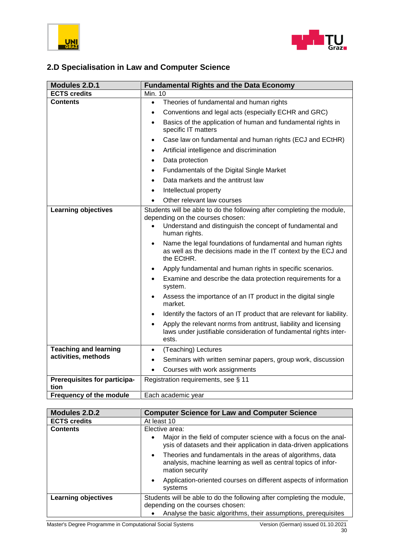



## **2.D Specialisation in Law and Computer Science**

| <b>Modules 2.D.1</b>                 | <b>Fundamental Rights and the Data Economy</b>                                                                                                                                                                                                                                                                                                                                                                                                                                                                                                                                                                                                                                                                                                                                                                                                |  |  |  |  |
|--------------------------------------|-----------------------------------------------------------------------------------------------------------------------------------------------------------------------------------------------------------------------------------------------------------------------------------------------------------------------------------------------------------------------------------------------------------------------------------------------------------------------------------------------------------------------------------------------------------------------------------------------------------------------------------------------------------------------------------------------------------------------------------------------------------------------------------------------------------------------------------------------|--|--|--|--|
| <b>ECTS credits</b>                  | <b>Min. 10</b>                                                                                                                                                                                                                                                                                                                                                                                                                                                                                                                                                                                                                                                                                                                                                                                                                                |  |  |  |  |
| <b>Contents</b>                      | Theories of fundamental and human rights<br>$\bullet$                                                                                                                                                                                                                                                                                                                                                                                                                                                                                                                                                                                                                                                                                                                                                                                         |  |  |  |  |
|                                      | Conventions and legal acts (especially ECHR and GRC)<br>$\bullet$                                                                                                                                                                                                                                                                                                                                                                                                                                                                                                                                                                                                                                                                                                                                                                             |  |  |  |  |
|                                      | Basics of the application of human and fundamental rights in<br>$\bullet$<br>specific IT matters                                                                                                                                                                                                                                                                                                                                                                                                                                                                                                                                                                                                                                                                                                                                              |  |  |  |  |
|                                      | Case law on fundamental and human rights (ECJ and ECtHR)<br>$\bullet$                                                                                                                                                                                                                                                                                                                                                                                                                                                                                                                                                                                                                                                                                                                                                                         |  |  |  |  |
|                                      | Artificial intelligence and discrimination<br>$\bullet$                                                                                                                                                                                                                                                                                                                                                                                                                                                                                                                                                                                                                                                                                                                                                                                       |  |  |  |  |
|                                      | Data protection<br>$\bullet$                                                                                                                                                                                                                                                                                                                                                                                                                                                                                                                                                                                                                                                                                                                                                                                                                  |  |  |  |  |
|                                      | Fundamentals of the Digital Single Market<br>$\bullet$                                                                                                                                                                                                                                                                                                                                                                                                                                                                                                                                                                                                                                                                                                                                                                                        |  |  |  |  |
|                                      | Data markets and the antitrust law<br>$\bullet$                                                                                                                                                                                                                                                                                                                                                                                                                                                                                                                                                                                                                                                                                                                                                                                               |  |  |  |  |
|                                      | Intellectual property<br>$\bullet$                                                                                                                                                                                                                                                                                                                                                                                                                                                                                                                                                                                                                                                                                                                                                                                                            |  |  |  |  |
|                                      | Other relevant law courses                                                                                                                                                                                                                                                                                                                                                                                                                                                                                                                                                                                                                                                                                                                                                                                                                    |  |  |  |  |
| <b>Learning objectives</b>           | Students will be able to do the following after completing the module,<br>depending on the courses chosen:<br>Understand and distinguish the concept of fundamental and<br>human rights.<br>Name the legal foundations of fundamental and human rights<br>$\bullet$<br>as well as the decisions made in the IT context by the ECJ and<br>the ECtHR.<br>Apply fundamental and human rights in specific scenarios.<br>٠<br>Examine and describe the data protection requirements for a<br>$\bullet$<br>system.<br>Assess the importance of an IT product in the digital single<br>$\bullet$<br>market.<br>Identify the factors of an IT product that are relevant for liability.<br>$\bullet$<br>Apply the relevant norms from antitrust, liability and licensing<br>laws under justifiable consideration of fundamental rights inter-<br>ests. |  |  |  |  |
| <b>Teaching and learning</b>         | (Teaching) Lectures<br>$\bullet$                                                                                                                                                                                                                                                                                                                                                                                                                                                                                                                                                                                                                                                                                                                                                                                                              |  |  |  |  |
| activities, methods                  | Seminars with written seminar papers, group work, discussion<br>$\bullet$                                                                                                                                                                                                                                                                                                                                                                                                                                                                                                                                                                                                                                                                                                                                                                     |  |  |  |  |
|                                      | Courses with work assignments<br>$\bullet$                                                                                                                                                                                                                                                                                                                                                                                                                                                                                                                                                                                                                                                                                                                                                                                                    |  |  |  |  |
| Prerequisites for participa-<br>tion | Registration requirements, see § 11                                                                                                                                                                                                                                                                                                                                                                                                                                                                                                                                                                                                                                                                                                                                                                                                           |  |  |  |  |
| Frequency of the module              | Each academic year                                                                                                                                                                                                                                                                                                                                                                                                                                                                                                                                                                                                                                                                                                                                                                                                                            |  |  |  |  |

| Modules 2.D.2              | <b>Computer Science for Law and Computer Science</b>                                                                                                                         |
|----------------------------|------------------------------------------------------------------------------------------------------------------------------------------------------------------------------|
| <b>ECTS credits</b>        | At least 10                                                                                                                                                                  |
| <b>Contents</b>            | Elective area:<br>Major in the field of computer science with a focus on the anal-<br>ysis of datasets and their application in data-driven applications                     |
|                            | Theories and fundamentals in the areas of algorithms, data<br>analysis, machine learning as well as central topics of infor-<br>mation security                              |
|                            | Application-oriented courses on different aspects of information<br>systems                                                                                                  |
| <b>Learning objectives</b> | Students will be able to do the following after completing the module,<br>depending on the courses chosen:<br>Analyse the basic algorithms, their assumptions, prerequisites |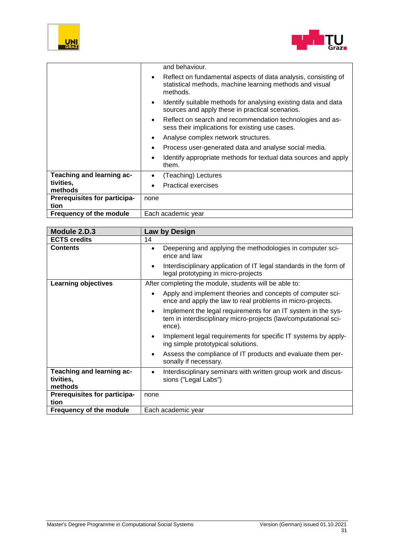



|                                | and behaviour.                                                                                                                                      |
|--------------------------------|-----------------------------------------------------------------------------------------------------------------------------------------------------|
|                                | Reflect on fundamental aspects of data analysis, consisting of<br>$\bullet$<br>statistical methods, machine learning methods and visual<br>methods. |
|                                | Identify suitable methods for analysing existing data and data<br>$\bullet$<br>sources and apply these in practical scenarios.                      |
|                                | Reflect on search and recommendation technologies and as-<br>$\bullet$<br>sess their implications for existing use cases.                           |
|                                | Analyse complex network structures.<br>$\bullet$                                                                                                    |
|                                | Process user-generated data and analyse social media.                                                                                               |
|                                | Identify appropriate methods for textual data sources and apply<br>them.                                                                            |
| Teaching and learning ac-      | (Teaching) Lectures<br>$\bullet$                                                                                                                    |
| tivities,<br>methods           | <b>Practical exercises</b>                                                                                                                          |
| Prerequisites for participa-   | none                                                                                                                                                |
| tion                           |                                                                                                                                                     |
| <b>Frequency of the module</b> | Each academic year                                                                                                                                  |

<span id="page-30-0"></span>

| Module 2.D.3                                      | Law by Design                                                                                                                                           |
|---------------------------------------------------|---------------------------------------------------------------------------------------------------------------------------------------------------------|
| <b>ECTS credits</b>                               | 14                                                                                                                                                      |
| <b>Contents</b>                                   | Deepening and applying the methodologies in computer sci-<br>$\bullet$<br>ence and law                                                                  |
|                                                   | Interdisciplinary application of IT legal standards in the form of<br>$\bullet$<br>legal prototyping in micro-projects                                  |
| <b>Learning objectives</b>                        | After completing the module, students will be able to:                                                                                                  |
|                                                   | Apply and implement theories and concepts of computer sci-<br>$\bullet$<br>ence and apply the law to real problems in micro-projects.                   |
|                                                   | Implement the legal requirements for an IT system in the sys-<br>$\bullet$<br>tem in interdisciplinary micro-projects (law/computational sci-<br>ence). |
|                                                   | Implement legal requirements for specific IT systems by apply-<br>٠<br>ing simple prototypical solutions.                                               |
|                                                   | Assess the compliance of IT products and evaluate them per-<br>٠<br>sonally if necessary.                                                               |
| Teaching and learning ac-<br>tivities,<br>methods | Interdisciplinary seminars with written group work and discus-<br>٠<br>sions ("Legal Labs")                                                             |
| Prerequisites for participa-<br>tion              | none                                                                                                                                                    |
| Frequency of the module                           | Each academic year                                                                                                                                      |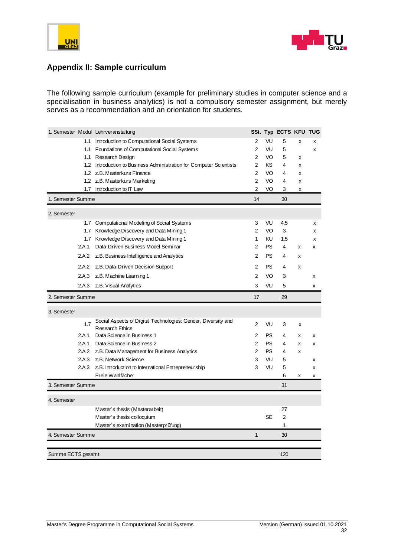



#### **Appendix II: Sample curriculum**

The following sample curriculum (example for preliminary studies in computer science and a specialisation in business analytics) is not a compulsory semester assignment, but merely serves as a recommendation and an orientation for students.

<span id="page-31-0"></span>

|                   |       | 1. Semester Modul Lehrveranstaltung                                                     |                |           | SSt. Typ ECTS KFU TUG |   |   |
|-------------------|-------|-----------------------------------------------------------------------------------------|----------------|-----------|-----------------------|---|---|
|                   | 1.1   | Introduction to Computational Social Systems                                            | $\overline{2}$ | VU        | 5                     | x | x |
|                   |       | 1.1 Foundations of Computational Social Systems                                         | $\overline{2}$ | VU        | 5                     |   | x |
|                   |       | 1.1 Research Design                                                                     | $\overline{2}$ | VO        | 5                     | x |   |
|                   |       | 1.2 Introduction to Business Administration for Computer Scientists                     | 2              | ΚS        | 4                     | х |   |
|                   |       | 1.2 z.B. Masterkurs Finance                                                             | 2              | VO        | 4                     | x |   |
|                   |       | 1.2 z.B. Masterkurs Marketing                                                           | 2              | VO        | 4                     | x |   |
|                   |       | 1.7 Introduction to IT Law                                                              | 2              | VO        | 3                     | x |   |
| 1. Semester Summe |       |                                                                                         | 14             |           | 30                    |   |   |
| 2. Semester       |       |                                                                                         |                |           |                       |   |   |
|                   | 1.7   | Computational Modeling of Social Systems                                                | 3              | VU        | 4,5                   |   | x |
|                   | 1.7   | Knowledge Discovery and Data Mining 1                                                   | 2              | VO        | 3                     |   | x |
|                   |       | 1.7 Knowledge Discovery and Data Mining 1                                               | 1              | ΚU        | 1,5                   |   | x |
|                   | 2.A.1 | Data-Driven Business Model Seminar                                                      | $\overline{2}$ | <b>PS</b> | 4                     | x | x |
|                   | 2.A.2 | z.B. Business Intelligence and Analytics                                                | 2              | <b>PS</b> | 4                     | x |   |
|                   | 2.A.2 | z.B. Data-Driven Decision Support                                                       | 2              | <b>PS</b> | 4                     | X |   |
|                   | 2.A.3 | z.B. Machine Learning 1                                                                 | $\overline{2}$ | VO        | 3                     |   | X |
|                   | 2.A.3 | z.B. Visual Analytics                                                                   | 3              | VU        | 5                     |   | x |
|                   |       |                                                                                         |                |           |                       |   |   |
| 2. Semester Summe |       |                                                                                         | 17             |           | 29                    |   |   |
| 3. Semester       |       |                                                                                         |                |           |                       |   |   |
|                   | 1.7   | Social Aspects of Digital Technologies: Gender, Diversity and<br><b>Research Ethics</b> | 2              | VU        | 3                     | x |   |
|                   | 2.A.1 | Data Science in Business 1                                                              | 2              | <b>PS</b> | 4                     | x | x |
|                   | 2.A.1 | Data Science in Business 2                                                              | 2              | PS        | 4                     | x | X |
|                   |       | 2.A.2 z.B. Data Management for Business Analytics                                       | $\overline{2}$ | <b>PS</b> | 4                     | x |   |
|                   | 2.A.3 | z.B. Network Science                                                                    | 3              | VU        | 5                     |   | x |
|                   | 2.A.3 | z.B. Introduction to International Entrepreneurship                                     | 3              | VU        | 5                     |   | X |
|                   |       | Freie Wahlfächer                                                                        |                |           | 6                     | х | x |
| 3. Semester Summe |       |                                                                                         |                |           | 31                    |   |   |
| 4. Semester       |       |                                                                                         |                |           |                       |   |   |
|                   |       | Master's thesis (Masterarbeit)                                                          |                |           | 27                    |   |   |
|                   |       | Master's thesis colloquium                                                              |                | <b>SE</b> | 2                     |   |   |
|                   |       | Master's examination (Masterprüfung)                                                    |                |           | 1                     |   |   |
| 4. Semester Summe |       |                                                                                         | 1              |           | 30                    |   |   |
|                   |       |                                                                                         |                |           |                       |   |   |